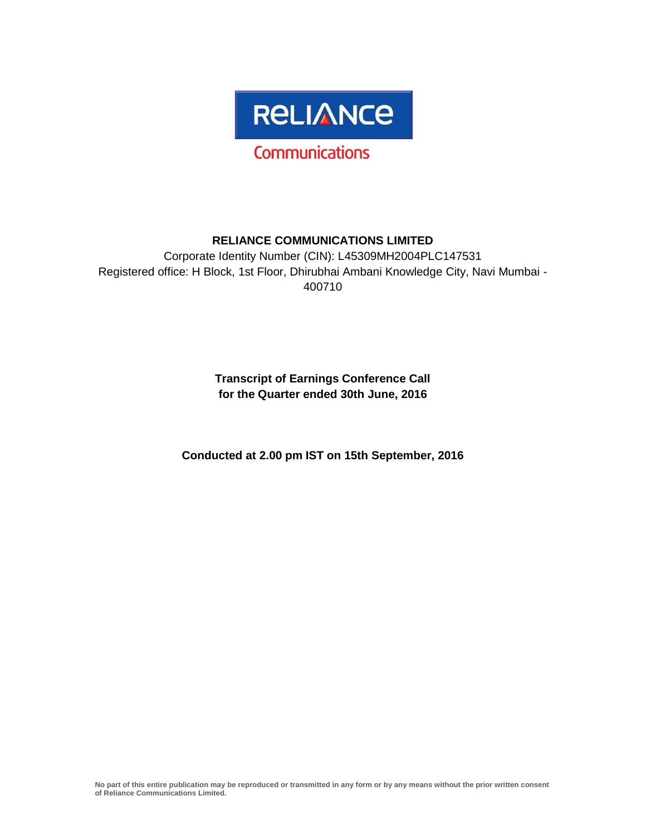

# **RELIANCE COMMUNICATIONS LIMITED**

Corporate Identity Number (CIN): L45309MH2004PLC147531 Registered office: H Block, 1st Floor, Dhirubhai Ambani Knowledge City, Navi Mumbai - 400710

> **Transcript of Earnings Conference Call for the Quarter ended 30th June, 2016**

**Conducted at 2.00 pm IST on 15th September, 2016**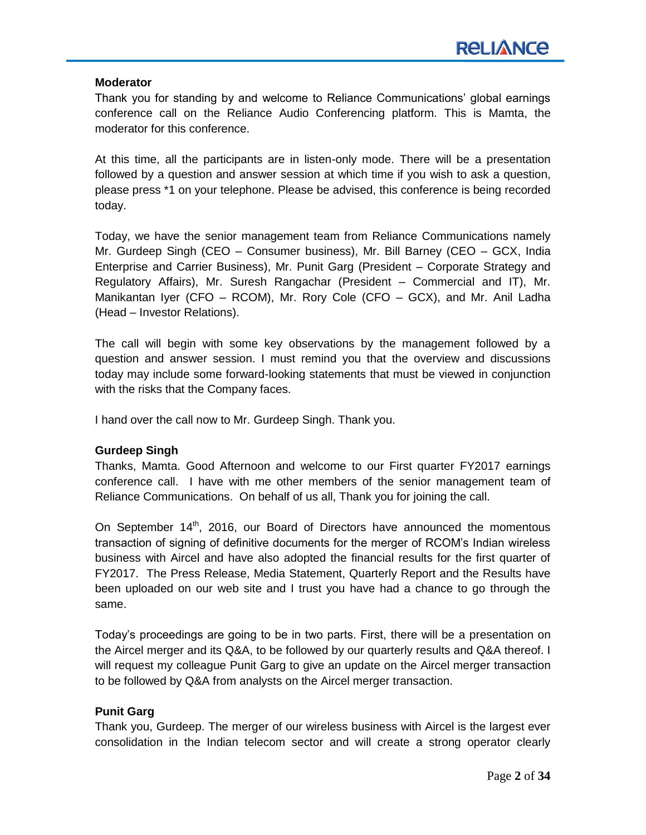### **Moderator**

Thank you for standing by and welcome to Reliance Communications' global earnings conference call on the Reliance Audio Conferencing platform. This is Mamta, the moderator for this conference.

At this time, all the participants are in listen-only mode. There will be a presentation followed by a question and answer session at which time if you wish to ask a question, please press \*1 on your telephone. Please be advised, this conference is being recorded today.

Today, we have the senior management team from Reliance Communications namely Mr. Gurdeep Singh (CEO – Consumer business), Mr. Bill Barney (CEO – GCX, India Enterprise and Carrier Business), Mr. Punit Garg (President – Corporate Strategy and Regulatory Affairs), Mr. Suresh Rangachar (President – Commercial and IT), Mr. Manikantan Iyer (CFO – RCOM), Mr. Rory Cole (CFO – GCX), and Mr. Anil Ladha (Head – Investor Relations).

The call will begin with some key observations by the management followed by a question and answer session. I must remind you that the overview and discussions today may include some forward-looking statements that must be viewed in conjunction with the risks that the Company faces.

I hand over the call now to Mr. Gurdeep Singh. Thank you.

# **Gurdeep Singh**

Thanks, Mamta. Good Afternoon and welcome to our First quarter FY2017 earnings conference call. I have with me other members of the senior management team of Reliance Communications. On behalf of us all, Thank you for joining the call.

On September  $14<sup>th</sup>$ , 2016, our Board of Directors have announced the momentous transaction of signing of definitive documents for the merger of RCOM's Indian wireless business with Aircel and have also adopted the financial results for the first quarter of FY2017. The Press Release, Media Statement, Quarterly Report and the Results have been uploaded on our web site and I trust you have had a chance to go through the same.

Today's proceedings are going to be in two parts. First, there will be a presentation on the Aircel merger and its Q&A, to be followed by our quarterly results and Q&A thereof. I will request my colleague Punit Garg to give an update on the Aircel merger transaction to be followed by Q&A from analysts on the Aircel merger transaction.

# **Punit Garg**

Thank you, Gurdeep. The merger of our wireless business with Aircel is the largest ever consolidation in the Indian telecom sector and will create a strong operator clearly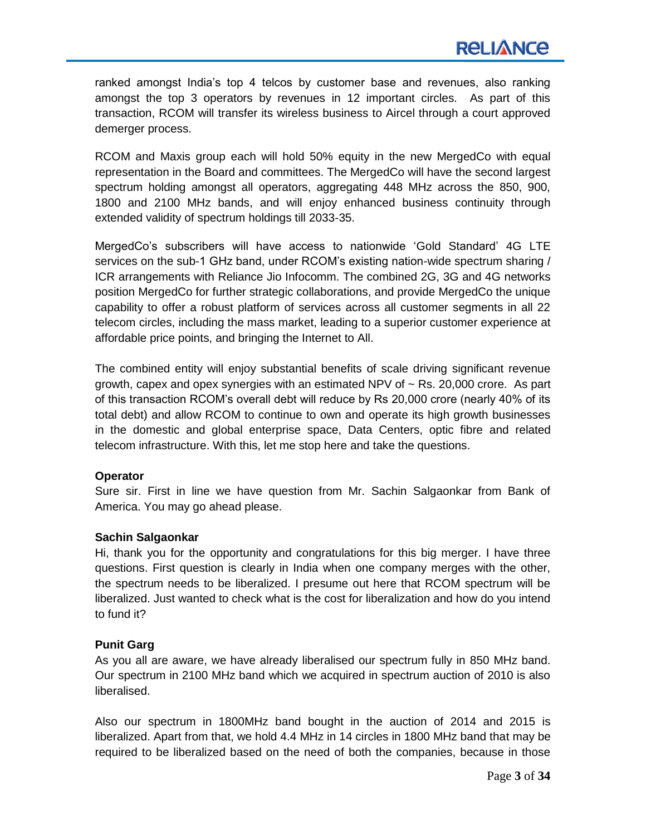ranked amongst India's top 4 telcos by customer base and revenues, also ranking amongst the top 3 operators by revenues in 12 important circles. As part of this transaction, RCOM will transfer its wireless business to Aircel through a court approved demerger process.

RCOM and Maxis group each will hold 50% equity in the new MergedCo with equal representation in the Board and committees. The MergedCo will have the second largest spectrum holding amongst all operators, aggregating 448 MHz across the 850, 900, 1800 and 2100 MHz bands, and will enjoy enhanced business continuity through extended validity of spectrum holdings till 2033-35.

MergedCo's subscribers will have access to nationwide 'Gold Standard' 4G LTE services on the sub-1 GHz band, under RCOM's existing nation-wide spectrum sharing / ICR arrangements with Reliance Jio Infocomm. The combined 2G, 3G and 4G networks position MergedCo for further strategic collaborations, and provide MergedCo the unique capability to offer a robust platform of services across all customer segments in all 22 telecom circles, including the mass market, leading to a superior customer experience at affordable price points, and bringing the Internet to All.

The combined entity will enjoy substantial benefits of scale driving significant revenue growth, capex and opex synergies with an estimated NPV of  $\sim$  Rs. 20,000 crore. As part of this transaction RCOM's overall debt will reduce by Rs 20,000 crore (nearly 40% of its total debt) and allow RCOM to continue to own and operate its high growth businesses in the domestic and global enterprise space, Data Centers, optic fibre and related telecom infrastructure. With this, let me stop here and take the questions.

### **Operator**

Sure sir. First in line we have question from Mr. Sachin Salgaonkar from Bank of America. You may go ahead please.

### **Sachin Salgaonkar**

Hi, thank you for the opportunity and congratulations for this big merger. I have three questions. First question is clearly in India when one company merges with the other, the spectrum needs to be liberalized. I presume out here that RCOM spectrum will be liberalized. Just wanted to check what is the cost for liberalization and how do you intend to fund it?

### **Punit Garg**

As you all are aware, we have already liberalised our spectrum fully in 850 MHz band. Our spectrum in 2100 MHz band which we acquired in spectrum auction of 2010 is also liberalised.

Also our spectrum in 1800MHz band bought in the auction of 2014 and 2015 is liberalized. Apart from that, we hold 4.4 MHz in 14 circles in 1800 MHz band that may be required to be liberalized based on the need of both the companies, because in those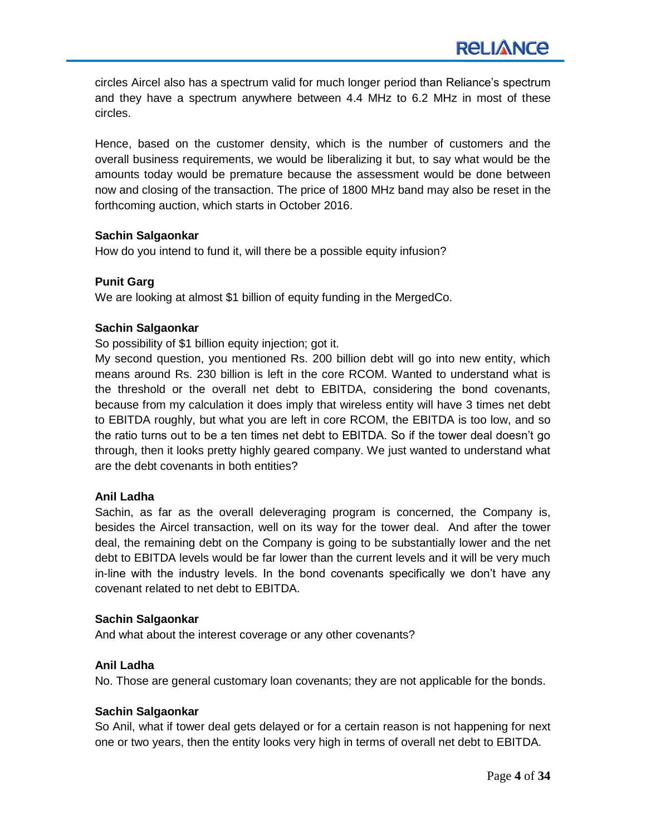circles Aircel also has a spectrum valid for much longer period than Reliance's spectrum and they have a spectrum anywhere between 4.4 MHz to 6.2 MHz in most of these circles.

Hence, based on the customer density, which is the number of customers and the overall business requirements, we would be liberalizing it but, to say what would be the amounts today would be premature because the assessment would be done between now and closing of the transaction. The price of 1800 MHz band may also be reset in the forthcoming auction, which starts in October 2016.

### **Sachin Salgaonkar**

How do you intend to fund it, will there be a possible equity infusion?

# **Punit Garg**

We are looking at almost \$1 billion of equity funding in the MergedCo.

# **Sachin Salgaonkar**

So possibility of \$1 billion equity injection; got it.

My second question, you mentioned Rs. 200 billion debt will go into new entity, which means around Rs. 230 billion is left in the core RCOM. Wanted to understand what is the threshold or the overall net debt to EBITDA, considering the bond covenants, because from my calculation it does imply that wireless entity will have 3 times net debt to EBITDA roughly, but what you are left in core RCOM, the EBITDA is too low, and so the ratio turns out to be a ten times net debt to EBITDA. So if the tower deal doesn't go through, then it looks pretty highly geared company. We just wanted to understand what are the debt covenants in both entities?

### **Anil Ladha**

Sachin, as far as the overall deleveraging program is concerned, the Company is, besides the Aircel transaction, well on its way for the tower deal. And after the tower deal, the remaining debt on the Company is going to be substantially lower and the net debt to EBITDA levels would be far lower than the current levels and it will be very much in-line with the industry levels. In the bond covenants specifically we don't have any covenant related to net debt to EBITDA.

### **Sachin Salgaonkar**

And what about the interest coverage or any other covenants?

# **Anil Ladha**

No. Those are general customary loan covenants; they are not applicable for the bonds.

### **Sachin Salgaonkar**

So Anil, what if tower deal gets delayed or for a certain reason is not happening for next one or two years, then the entity looks very high in terms of overall net debt to EBITDA.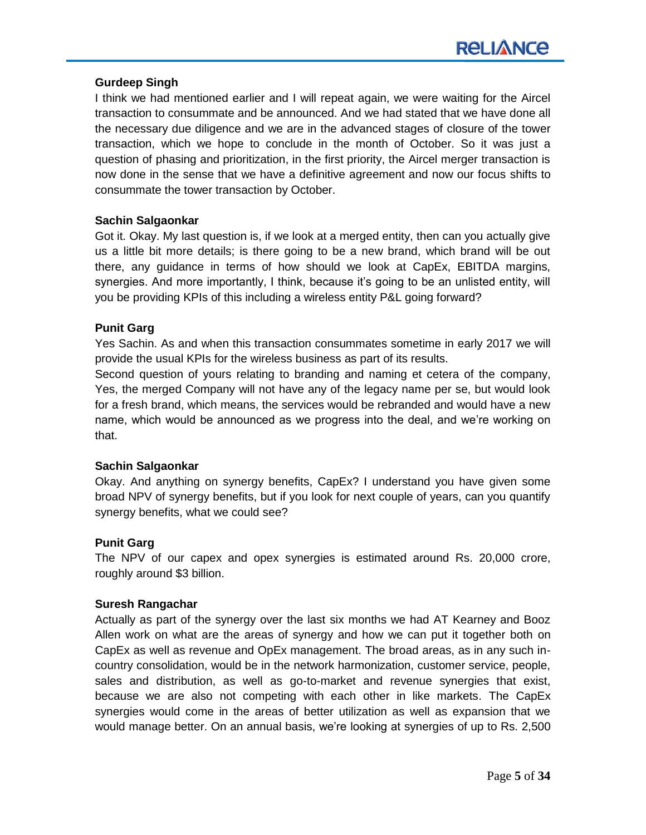### **Gurdeep Singh**

I think we had mentioned earlier and I will repeat again, we were waiting for the Aircel transaction to consummate and be announced. And we had stated that we have done all the necessary due diligence and we are in the advanced stages of closure of the tower transaction, which we hope to conclude in the month of October. So it was just a question of phasing and prioritization, in the first priority, the Aircel merger transaction is now done in the sense that we have a definitive agreement and now our focus shifts to consummate the tower transaction by October.

### **Sachin Salgaonkar**

Got it. Okay. My last question is, if we look at a merged entity, then can you actually give us a little bit more details; is there going to be a new brand, which brand will be out there, any guidance in terms of how should we look at CapEx, EBITDA margins, synergies. And more importantly, I think, because it's going to be an unlisted entity, will you be providing KPIs of this including a wireless entity P&L going forward?

### **Punit Garg**

Yes Sachin. As and when this transaction consummates sometime in early 2017 we will provide the usual KPIs for the wireless business as part of its results.

Second question of yours relating to branding and naming et cetera of the company, Yes, the merged Company will not have any of the legacy name per se, but would look for a fresh brand, which means, the services would be rebranded and would have a new name, which would be announced as we progress into the deal, and we're working on that.

### **Sachin Salgaonkar**

Okay. And anything on synergy benefits, CapEx? I understand you have given some broad NPV of synergy benefits, but if you look for next couple of years, can you quantify synergy benefits, what we could see?

### **Punit Garg**

The NPV of our capex and opex synergies is estimated around Rs. 20,000 crore, roughly around \$3 billion.

### **Suresh Rangachar**

Actually as part of the synergy over the last six months we had AT Kearney and Booz Allen work on what are the areas of synergy and how we can put it together both on CapEx as well as revenue and OpEx management. The broad areas, as in any such incountry consolidation, would be in the network harmonization, customer service, people, sales and distribution, as well as go-to-market and revenue synergies that exist, because we are also not competing with each other in like markets. The CapEx synergies would come in the areas of better utilization as well as expansion that we would manage better. On an annual basis, we're looking at synergies of up to Rs. 2,500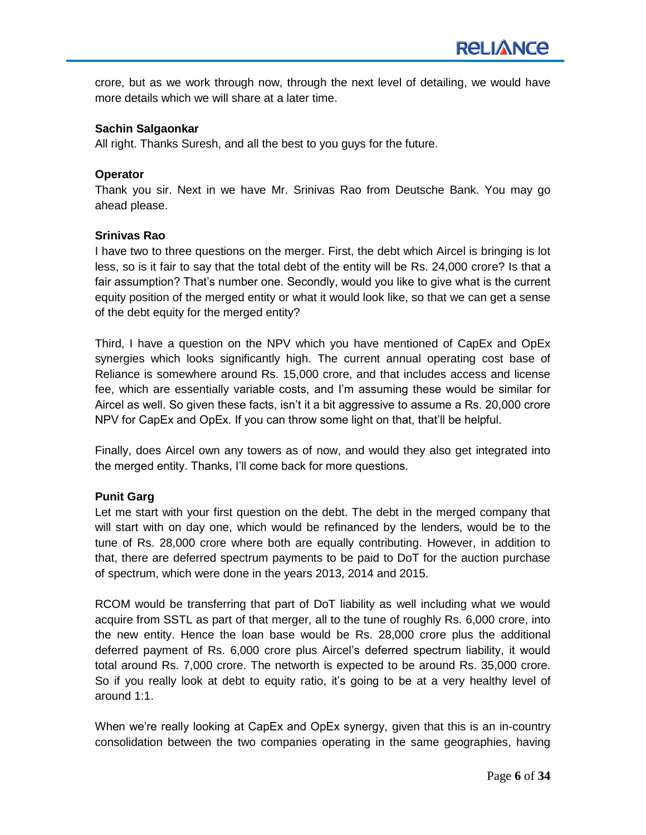crore, but as we work through now, through the next level of detailing, we would have more details which we will share at a later time.

### **Sachin Salgaonkar**

All right. Thanks Suresh, and all the best to you guys for the future.

### **Operator**

Thank you sir. Next in we have Mr. Srinivas Rao from Deutsche Bank. You may go ahead please.

### **Srinivas Rao**

I have two to three questions on the merger. First, the debt which Aircel is bringing is lot less, so is it fair to say that the total debt of the entity will be Rs. 24,000 crore? Is that a fair assumption? That's number one. Secondly, would you like to give what is the current equity position of the merged entity or what it would look like, so that we can get a sense of the debt equity for the merged entity?

Third, I have a question on the NPV which you have mentioned of CapEx and OpEx synergies which looks significantly high. The current annual operating cost base of Reliance is somewhere around Rs. 15,000 crore, and that includes access and license fee, which are essentially variable costs, and I'm assuming these would be similar for Aircel as well. So given these facts, isn't it a bit aggressive to assume a Rs. 20,000 crore NPV for CapEx and OpEx. If you can throw some light on that, that'll be helpful.

Finally, does Aircel own any towers as of now, and would they also get integrated into the merged entity. Thanks, I'll come back for more questions.

### **Punit Garg**

Let me start with your first question on the debt. The debt in the merged company that will start with on day one, which would be refinanced by the lenders, would be to the tune of Rs. 28,000 crore where both are equally contributing. However, in addition to that, there are deferred spectrum payments to be paid to DoT for the auction purchase of spectrum, which were done in the years 2013, 2014 and 2015.

RCOM would be transferring that part of DoT liability as well including what we would acquire from SSTL as part of that merger, all to the tune of roughly Rs. 6,000 crore, into the new entity. Hence the loan base would be Rs. 28,000 crore plus the additional deferred payment of Rs. 6,000 crore plus Aircel's deferred spectrum liability, it would total around Rs. 7,000 crore. The networth is expected to be around Rs. 35,000 crore. So if you really look at debt to equity ratio, it's going to be at a very healthy level of around 1:1.

When we're really looking at CapEx and OpEx synergy, given that this is an in-country consolidation between the two companies operating in the same geographies, having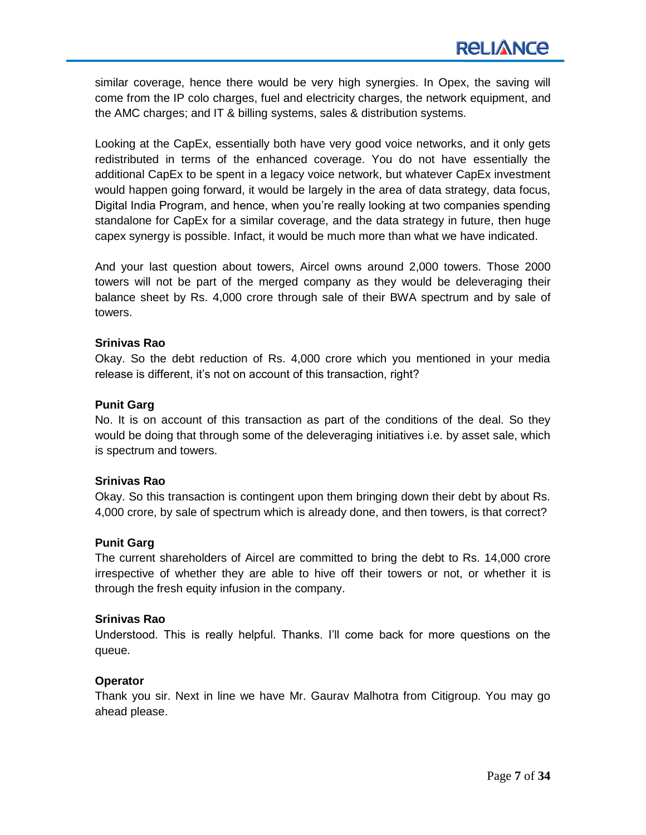similar coverage, hence there would be very high synergies. In Opex, the saving will come from the IP colo charges, fuel and electricity charges, the network equipment, and the AMC charges; and IT & billing systems, sales & distribution systems.

Looking at the CapEx, essentially both have very good voice networks, and it only gets redistributed in terms of the enhanced coverage. You do not have essentially the additional CapEx to be spent in a legacy voice network, but whatever CapEx investment would happen going forward, it would be largely in the area of data strategy, data focus, Digital India Program, and hence, when you're really looking at two companies spending standalone for CapEx for a similar coverage, and the data strategy in future, then huge capex synergy is possible. Infact, it would be much more than what we have indicated.

And your last question about towers, Aircel owns around 2,000 towers. Those 2000 towers will not be part of the merged company as they would be deleveraging their balance sheet by Rs. 4,000 crore through sale of their BWA spectrum and by sale of towers.

### **Srinivas Rao**

Okay. So the debt reduction of Rs. 4,000 crore which you mentioned in your media release is different, it's not on account of this transaction, right?

### **Punit Garg**

No. It is on account of this transaction as part of the conditions of the deal. So they would be doing that through some of the deleveraging initiatives i.e. by asset sale, which is spectrum and towers.

### **Srinivas Rao**

Okay. So this transaction is contingent upon them bringing down their debt by about Rs. 4,000 crore, by sale of spectrum which is already done, and then towers, is that correct?

### **Punit Garg**

The current shareholders of Aircel are committed to bring the debt to Rs. 14,000 crore irrespective of whether they are able to hive off their towers or not, or whether it is through the fresh equity infusion in the company.

### **Srinivas Rao**

Understood. This is really helpful. Thanks. I'll come back for more questions on the queue.

### **Operator**

Thank you sir. Next in line we have Mr. Gaurav Malhotra from Citigroup. You may go ahead please.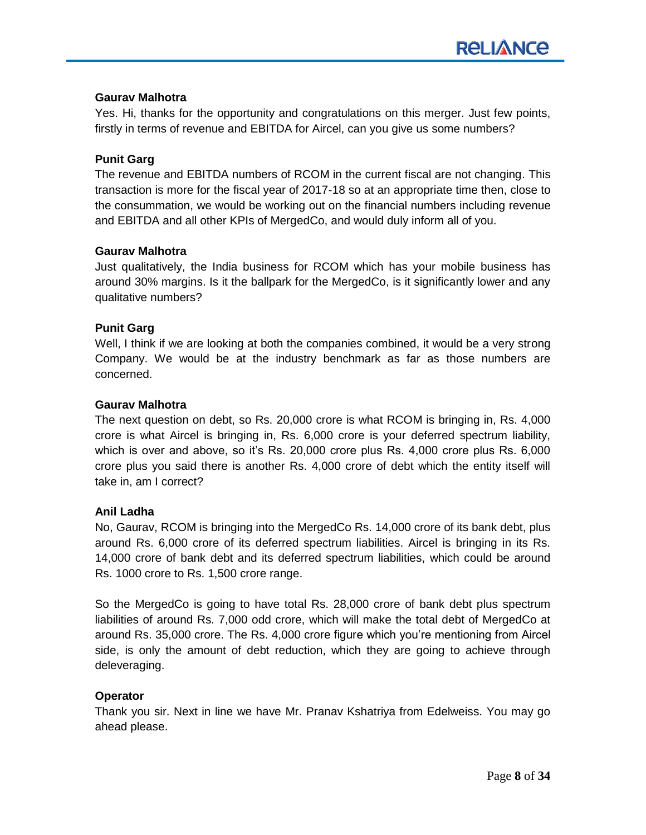### **Gaurav Malhotra**

Yes. Hi, thanks for the opportunity and congratulations on this merger. Just few points, firstly in terms of revenue and EBITDA for Aircel, can you give us some numbers?

### **Punit Garg**

The revenue and EBITDA numbers of RCOM in the current fiscal are not changing. This transaction is more for the fiscal year of 2017-18 so at an appropriate time then, close to the consummation, we would be working out on the financial numbers including revenue and EBITDA and all other KPIs of MergedCo, and would duly inform all of you.

### **Gaurav Malhotra**

Just qualitatively, the India business for RCOM which has your mobile business has around 30% margins. Is it the ballpark for the MergedCo, is it significantly lower and any qualitative numbers?

### **Punit Garg**

Well, I think if we are looking at both the companies combined, it would be a very strong Company. We would be at the industry benchmark as far as those numbers are concerned.

### **Gaurav Malhotra**

The next question on debt, so Rs. 20,000 crore is what RCOM is bringing in, Rs. 4,000 crore is what Aircel is bringing in, Rs. 6,000 crore is your deferred spectrum liability, which is over and above, so it's Rs. 20,000 crore plus Rs. 4,000 crore plus Rs. 6,000 crore plus you said there is another Rs. 4,000 crore of debt which the entity itself will take in, am I correct?

### **Anil Ladha**

No, Gaurav, RCOM is bringing into the MergedCo Rs. 14,000 crore of its bank debt, plus around Rs. 6,000 crore of its deferred spectrum liabilities. Aircel is bringing in its Rs. 14,000 crore of bank debt and its deferred spectrum liabilities, which could be around Rs. 1000 crore to Rs. 1,500 crore range.

So the MergedCo is going to have total Rs. 28,000 crore of bank debt plus spectrum liabilities of around Rs. 7,000 odd crore, which will make the total debt of MergedCo at around Rs. 35,000 crore. The Rs. 4,000 crore figure which you're mentioning from Aircel side, is only the amount of debt reduction, which they are going to achieve through deleveraging.

### **Operator**

Thank you sir. Next in line we have Mr. Pranav Kshatriya from Edelweiss. You may go ahead please.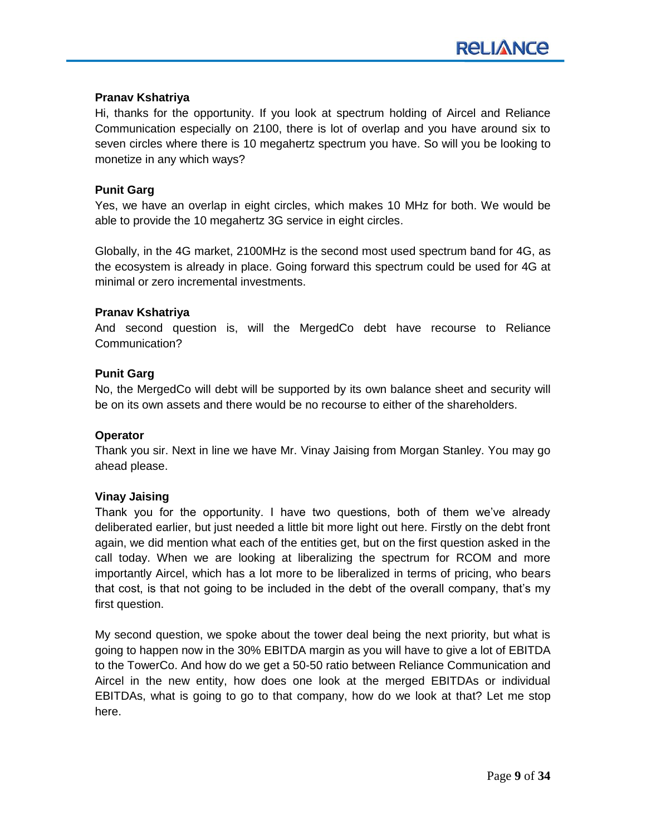# **Pranav Kshatriya**

Hi, thanks for the opportunity. If you look at spectrum holding of Aircel and Reliance Communication especially on 2100, there is lot of overlap and you have around six to seven circles where there is 10 megahertz spectrum you have. So will you be looking to monetize in any which ways?

# **Punit Garg**

Yes, we have an overlap in eight circles, which makes 10 MHz for both. We would be able to provide the 10 megahertz 3G service in eight circles.

Globally, in the 4G market, 2100MHz is the second most used spectrum band for 4G, as the ecosystem is already in place. Going forward this spectrum could be used for 4G at minimal or zero incremental investments.

### **Pranav Kshatriya**

And second question is, will the MergedCo debt have recourse to Reliance Communication?

### **Punit Garg**

No, the MergedCo will debt will be supported by its own balance sheet and security will be on its own assets and there would be no recourse to either of the shareholders.

### **Operator**

Thank you sir. Next in line we have Mr. Vinay Jaising from Morgan Stanley. You may go ahead please.

### **Vinay Jaising**

Thank you for the opportunity. I have two questions, both of them we've already deliberated earlier, but just needed a little bit more light out here. Firstly on the debt front again, we did mention what each of the entities get, but on the first question asked in the call today. When we are looking at liberalizing the spectrum for RCOM and more importantly Aircel, which has a lot more to be liberalized in terms of pricing, who bears that cost, is that not going to be included in the debt of the overall company, that's my first question.

My second question, we spoke about the tower deal being the next priority, but what is going to happen now in the 30% EBITDA margin as you will have to give a lot of EBITDA to the TowerCo. And how do we get a 50-50 ratio between Reliance Communication and Aircel in the new entity, how does one look at the merged EBITDAs or individual EBITDAs, what is going to go to that company, how do we look at that? Let me stop here.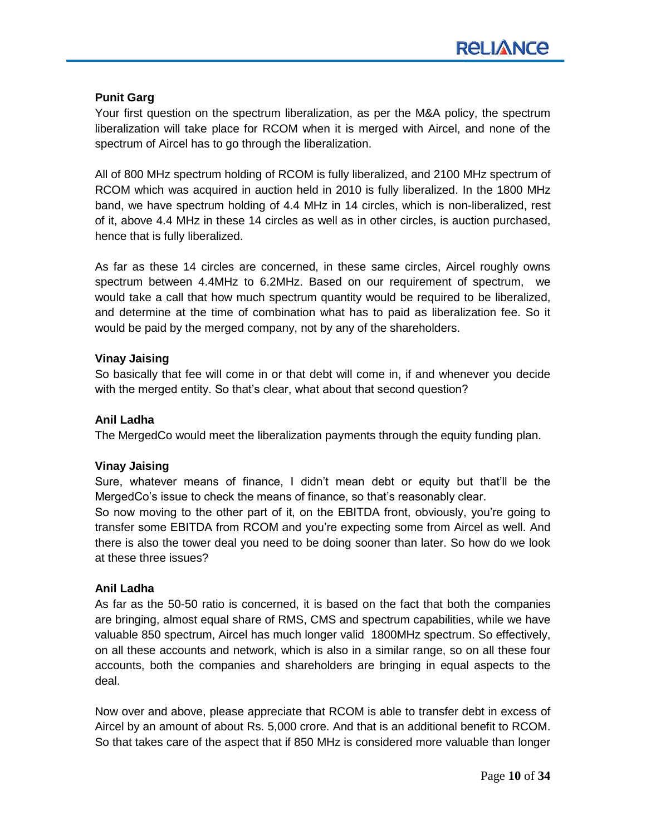# **Punit Garg**

Your first question on the spectrum liberalization, as per the M&A policy, the spectrum liberalization will take place for RCOM when it is merged with Aircel, and none of the spectrum of Aircel has to go through the liberalization.

All of 800 MHz spectrum holding of RCOM is fully liberalized, and 2100 MHz spectrum of RCOM which was acquired in auction held in 2010 is fully liberalized. In the 1800 MHz band, we have spectrum holding of 4.4 MHz in 14 circles, which is non-liberalized, rest of it, above 4.4 MHz in these 14 circles as well as in other circles, is auction purchased, hence that is fully liberalized.

As far as these 14 circles are concerned, in these same circles, Aircel roughly owns spectrum between 4.4MHz to 6.2MHz. Based on our requirement of spectrum, we would take a call that how much spectrum quantity would be required to be liberalized, and determine at the time of combination what has to paid as liberalization fee. So it would be paid by the merged company, not by any of the shareholders.

### **Vinay Jaising**

So basically that fee will come in or that debt will come in, if and whenever you decide with the merged entity. So that's clear, what about that second question?

# **Anil Ladha**

The MergedCo would meet the liberalization payments through the equity funding plan.

### **Vinay Jaising**

Sure, whatever means of finance, I didn't mean debt or equity but that'll be the MergedCo's issue to check the means of finance, so that's reasonably clear.

So now moving to the other part of it, on the EBITDA front, obviously, you're going to transfer some EBITDA from RCOM and you're expecting some from Aircel as well. And there is also the tower deal you need to be doing sooner than later. So how do we look at these three issues?

# **Anil Ladha**

As far as the 50-50 ratio is concerned, it is based on the fact that both the companies are bringing, almost equal share of RMS, CMS and spectrum capabilities, while we have valuable 850 spectrum, Aircel has much longer valid 1800MHz spectrum. So effectively, on all these accounts and network, which is also in a similar range, so on all these four accounts, both the companies and shareholders are bringing in equal aspects to the deal.

Now over and above, please appreciate that RCOM is able to transfer debt in excess of Aircel by an amount of about Rs. 5,000 crore. And that is an additional benefit to RCOM. So that takes care of the aspect that if 850 MHz is considered more valuable than longer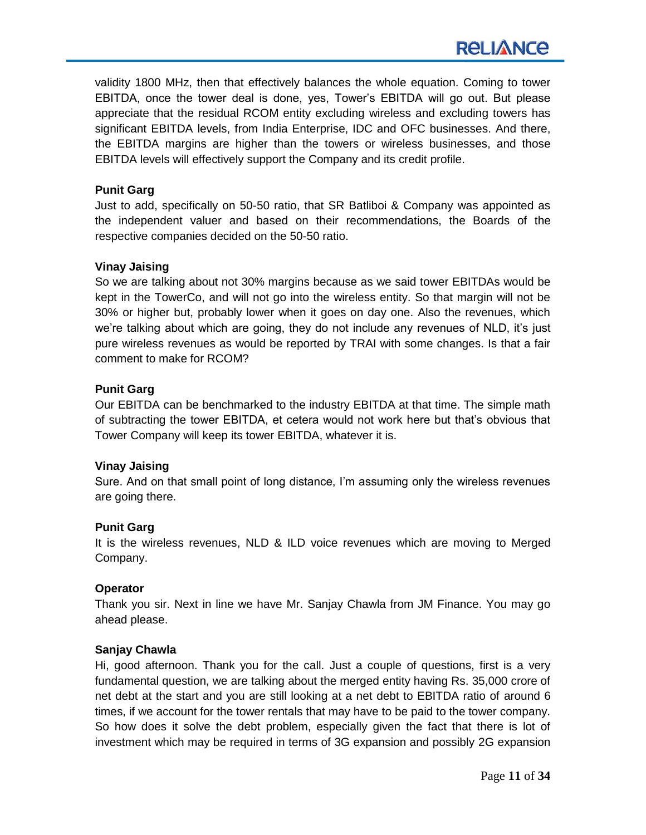validity 1800 MHz, then that effectively balances the whole equation. Coming to tower EBITDA, once the tower deal is done, yes, Tower's EBITDA will go out. But please appreciate that the residual RCOM entity excluding wireless and excluding towers has significant EBITDA levels, from India Enterprise, IDC and OFC businesses. And there, the EBITDA margins are higher than the towers or wireless businesses, and those EBITDA levels will effectively support the Company and its credit profile.

# **Punit Garg**

Just to add, specifically on 50-50 ratio, that SR Batliboi & Company was appointed as the independent valuer and based on their recommendations, the Boards of the respective companies decided on the 50-50 ratio.

# **Vinay Jaising**

So we are talking about not 30% margins because as we said tower EBITDAs would be kept in the TowerCo, and will not go into the wireless entity. So that margin will not be 30% or higher but, probably lower when it goes on day one. Also the revenues, which we're talking about which are going, they do not include any revenues of NLD, it's just pure wireless revenues as would be reported by TRAI with some changes. Is that a fair comment to make for RCOM?

# **Punit Garg**

Our EBITDA can be benchmarked to the industry EBITDA at that time. The simple math of subtracting the tower EBITDA, et cetera would not work here but that's obvious that Tower Company will keep its tower EBITDA, whatever it is.

### **Vinay Jaising**

Sure. And on that small point of long distance, I'm assuming only the wireless revenues are going there.

### **Punit Garg**

It is the wireless revenues, NLD & ILD voice revenues which are moving to Merged Company.

# **Operator**

Thank you sir. Next in line we have Mr. Sanjay Chawla from JM Finance. You may go ahead please.

### **Sanjay Chawla**

Hi, good afternoon. Thank you for the call. Just a couple of questions, first is a very fundamental question, we are talking about the merged entity having Rs. 35,000 crore of net debt at the start and you are still looking at a net debt to EBITDA ratio of around 6 times, if we account for the tower rentals that may have to be paid to the tower company. So how does it solve the debt problem, especially given the fact that there is lot of investment which may be required in terms of 3G expansion and possibly 2G expansion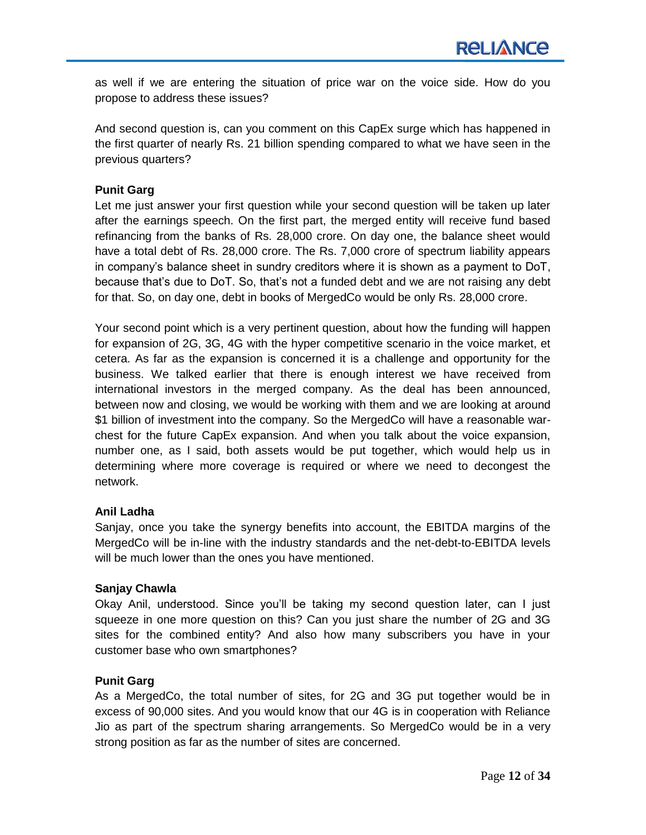as well if we are entering the situation of price war on the voice side. How do you propose to address these issues?

And second question is, can you comment on this CapEx surge which has happened in the first quarter of nearly Rs. 21 billion spending compared to what we have seen in the previous quarters?

# **Punit Garg**

Let me just answer your first question while your second question will be taken up later after the earnings speech. On the first part, the merged entity will receive fund based refinancing from the banks of Rs. 28,000 crore. On day one, the balance sheet would have a total debt of Rs. 28,000 crore. The Rs. 7,000 crore of spectrum liability appears in company's balance sheet in sundry creditors where it is shown as a payment to DoT, because that's due to DoT. So, that's not a funded debt and we are not raising any debt for that. So, on day one, debt in books of MergedCo would be only Rs. 28,000 crore.

Your second point which is a very pertinent question, about how the funding will happen for expansion of 2G, 3G, 4G with the hyper competitive scenario in the voice market, et cetera. As far as the expansion is concerned it is a challenge and opportunity for the business. We talked earlier that there is enough interest we have received from international investors in the merged company. As the deal has been announced, between now and closing, we would be working with them and we are looking at around \$1 billion of investment into the company. So the MergedCo will have a reasonable warchest for the future CapEx expansion. And when you talk about the voice expansion, number one, as I said, both assets would be put together, which would help us in determining where more coverage is required or where we need to decongest the network.

### **Anil Ladha**

Sanjay, once you take the synergy benefits into account, the EBITDA margins of the MergedCo will be in-line with the industry standards and the net-debt-to-EBITDA levels will be much lower than the ones you have mentioned.

### **Sanjay Chawla**

Okay Anil, understood. Since you'll be taking my second question later, can I just squeeze in one more question on this? Can you just share the number of 2G and 3G sites for the combined entity? And also how many subscribers you have in your customer base who own smartphones?

### **Punit Garg**

As a MergedCo, the total number of sites, for 2G and 3G put together would be in excess of 90,000 sites. And you would know that our 4G is in cooperation with Reliance Jio as part of the spectrum sharing arrangements. So MergedCo would be in a very strong position as far as the number of sites are concerned.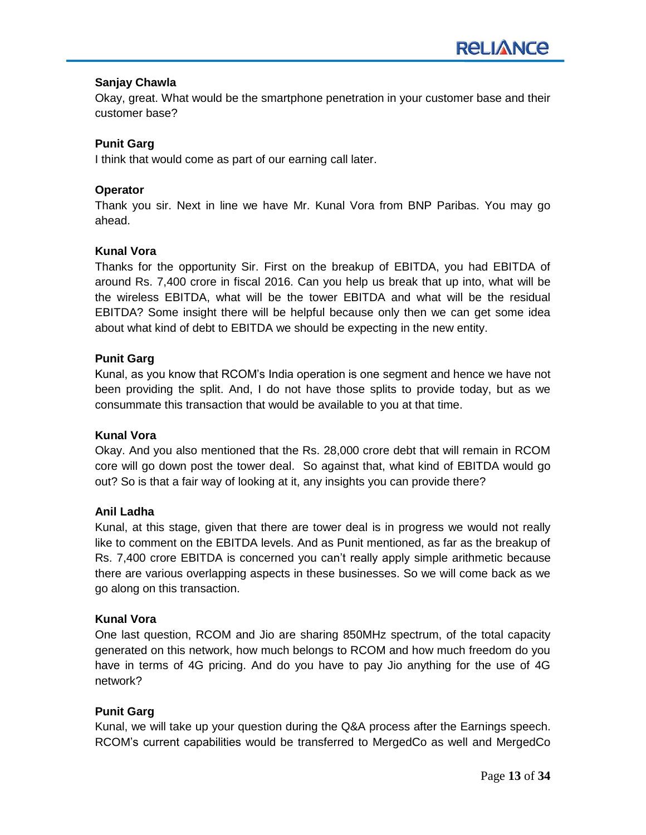# **Sanjay Chawla**

Okay, great. What would be the smartphone penetration in your customer base and their customer base?

# **Punit Garg**

I think that would come as part of our earning call later.

# **Operator**

Thank you sir. Next in line we have Mr. Kunal Vora from BNP Paribas. You may go ahead.

### **Kunal Vora**

Thanks for the opportunity Sir. First on the breakup of EBITDA, you had EBITDA of around Rs. 7,400 crore in fiscal 2016. Can you help us break that up into, what will be the wireless EBITDA, what will be the tower EBITDA and what will be the residual EBITDA? Some insight there will be helpful because only then we can get some idea about what kind of debt to EBITDA we should be expecting in the new entity.

### **Punit Garg**

Kunal, as you know that RCOM's India operation is one segment and hence we have not been providing the split. And, I do not have those splits to provide today, but as we consummate this transaction that would be available to you at that time.

### **Kunal Vora**

Okay. And you also mentioned that the Rs. 28,000 crore debt that will remain in RCOM core will go down post the tower deal. So against that, what kind of EBITDA would go out? So is that a fair way of looking at it, any insights you can provide there?

### **Anil Ladha**

Kunal, at this stage, given that there are tower deal is in progress we would not really like to comment on the EBITDA levels. And as Punit mentioned, as far as the breakup of Rs. 7,400 crore EBITDA is concerned you can't really apply simple arithmetic because there are various overlapping aspects in these businesses. So we will come back as we go along on this transaction.

### **Kunal Vora**

One last question, RCOM and Jio are sharing 850MHz spectrum, of the total capacity generated on this network, how much belongs to RCOM and how much freedom do you have in terms of 4G pricing. And do you have to pay Jio anything for the use of 4G network?

# **Punit Garg**

Kunal, we will take up your question during the Q&A process after the Earnings speech. RCOM's current capabilities would be transferred to MergedCo as well and MergedCo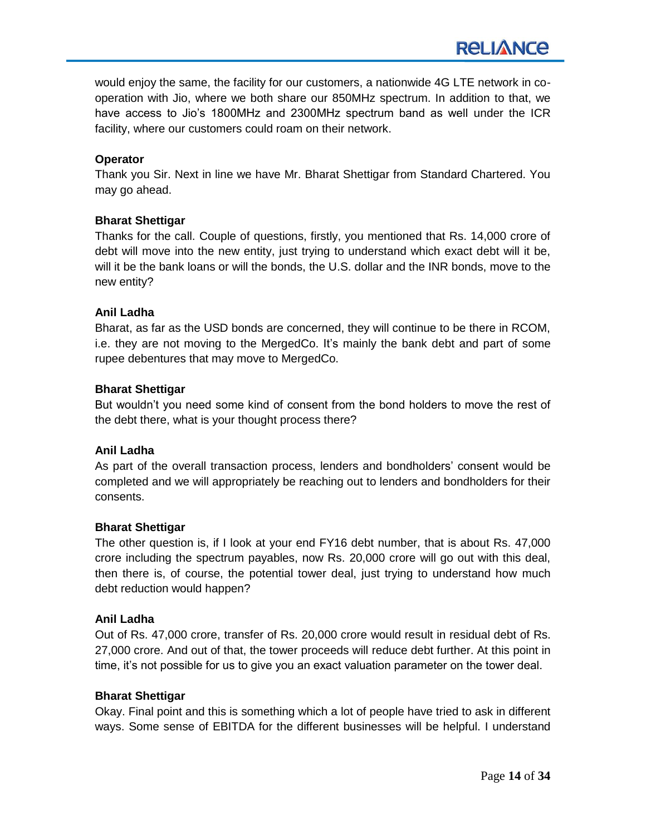# **Operator**

Thank you Sir. Next in line we have Mr. Bharat Shettigar from Standard Chartered. You may go ahead.

# **Bharat Shettigar**

Thanks for the call. Couple of questions, firstly, you mentioned that Rs. 14,000 crore of debt will move into the new entity, just trying to understand which exact debt will it be, will it be the bank loans or will the bonds, the U.S. dollar and the INR bonds, move to the new entity?

# **Anil Ladha**

Bharat, as far as the USD bonds are concerned, they will continue to be there in RCOM, i.e. they are not moving to the MergedCo. It's mainly the bank debt and part of some rupee debentures that may move to MergedCo.

### **Bharat Shettigar**

But wouldn't you need some kind of consent from the bond holders to move the rest of the debt there, what is your thought process there?

### **Anil Ladha**

As part of the overall transaction process, lenders and bondholders' consent would be completed and we will appropriately be reaching out to lenders and bondholders for their consents.

### **Bharat Shettigar**

The other question is, if I look at your end FY16 debt number, that is about Rs. 47,000 crore including the spectrum payables, now Rs. 20,000 crore will go out with this deal, then there is, of course, the potential tower deal, just trying to understand how much debt reduction would happen?

### **Anil Ladha**

Out of Rs. 47,000 crore, transfer of Rs. 20,000 crore would result in residual debt of Rs. 27,000 crore. And out of that, the tower proceeds will reduce debt further. At this point in time, it's not possible for us to give you an exact valuation parameter on the tower deal.

### **Bharat Shettigar**

Okay. Final point and this is something which a lot of people have tried to ask in different ways. Some sense of EBITDA for the different businesses will be helpful. I understand

**RELIANCE**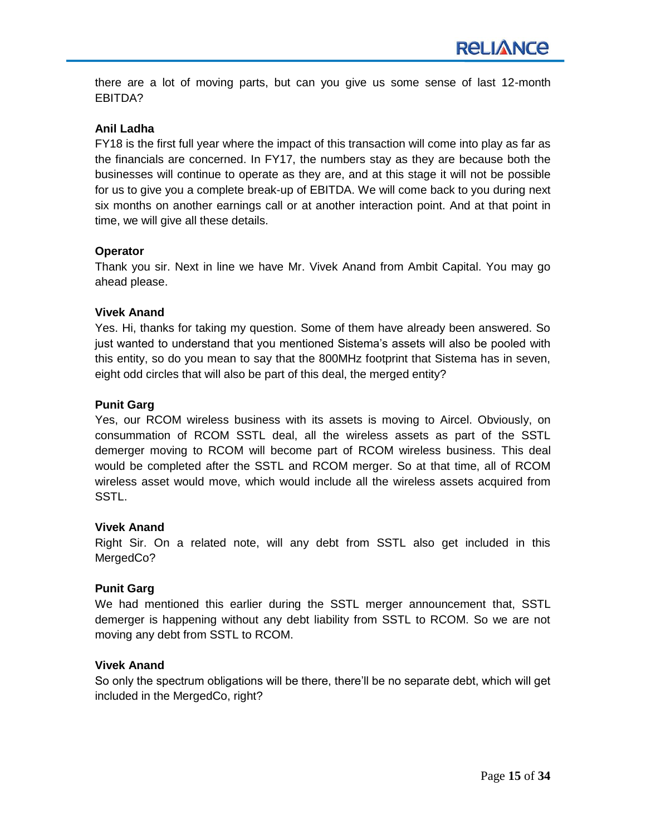there are a lot of moving parts, but can you give us some sense of last 12-month EBITDA?

### **Anil Ladha**

FY18 is the first full year where the impact of this transaction will come into play as far as the financials are concerned. In FY17, the numbers stay as they are because both the businesses will continue to operate as they are, and at this stage it will not be possible for us to give you a complete break-up of EBITDA. We will come back to you during next six months on another earnings call or at another interaction point. And at that point in time, we will give all these details.

### **Operator**

Thank you sir. Next in line we have Mr. Vivek Anand from Ambit Capital. You may go ahead please.

### **Vivek Anand**

Yes. Hi, thanks for taking my question. Some of them have already been answered. So just wanted to understand that you mentioned Sistema's assets will also be pooled with this entity, so do you mean to say that the 800MHz footprint that Sistema has in seven, eight odd circles that will also be part of this deal, the merged entity?

### **Punit Garg**

Yes, our RCOM wireless business with its assets is moving to Aircel. Obviously, on consummation of RCOM SSTL deal, all the wireless assets as part of the SSTL demerger moving to RCOM will become part of RCOM wireless business. This deal would be completed after the SSTL and RCOM merger. So at that time, all of RCOM wireless asset would move, which would include all the wireless assets acquired from SSTL.

### **Vivek Anand**

Right Sir. On a related note, will any debt from SSTL also get included in this MergedCo?

### **Punit Garg**

We had mentioned this earlier during the SSTL merger announcement that, SSTL demerger is happening without any debt liability from SSTL to RCOM. So we are not moving any debt from SSTL to RCOM.

### **Vivek Anand**

So only the spectrum obligations will be there, there'll be no separate debt, which will get included in the MergedCo, right?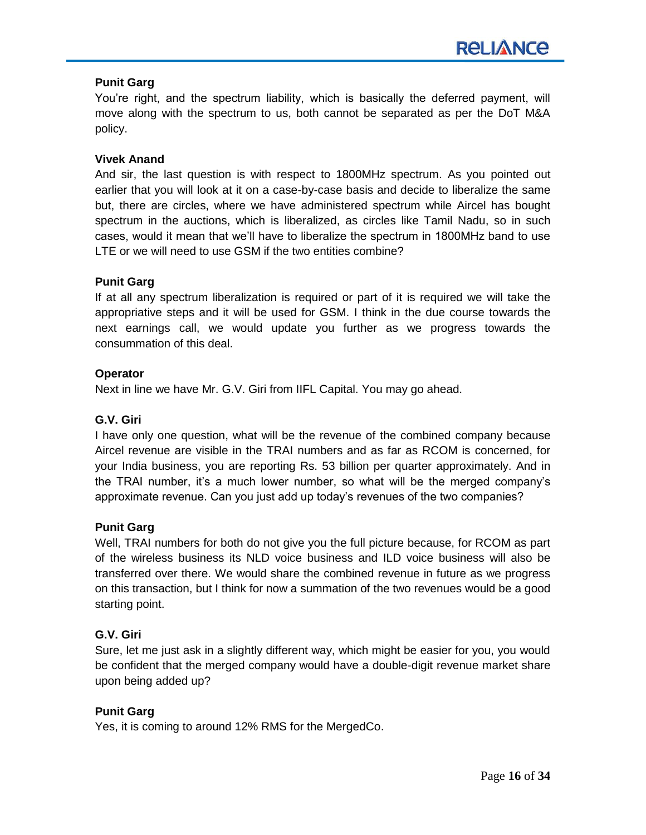# **Punit Garg**

You're right, and the spectrum liability, which is basically the deferred payment, will move along with the spectrum to us, both cannot be separated as per the DoT M&A policy.

# **Vivek Anand**

And sir, the last question is with respect to 1800MHz spectrum. As you pointed out earlier that you will look at it on a case-by-case basis and decide to liberalize the same but, there are circles, where we have administered spectrum while Aircel has bought spectrum in the auctions, which is liberalized, as circles like Tamil Nadu, so in such cases, would it mean that we'll have to liberalize the spectrum in 1800MHz band to use LTE or we will need to use GSM if the two entities combine?

# **Punit Garg**

If at all any spectrum liberalization is required or part of it is required we will take the appropriative steps and it will be used for GSM. I think in the due course towards the next earnings call, we would update you further as we progress towards the consummation of this deal.

# **Operator**

Next in line we have Mr. G.V. Giri from IIFL Capital. You may go ahead.

# **G.V. Giri**

I have only one question, what will be the revenue of the combined company because Aircel revenue are visible in the TRAI numbers and as far as RCOM is concerned, for your India business, you are reporting Rs. 53 billion per quarter approximately. And in the TRAI number, it's a much lower number, so what will be the merged company's approximate revenue. Can you just add up today's revenues of the two companies?

### **Punit Garg**

Well, TRAI numbers for both do not give you the full picture because, for RCOM as part of the wireless business its NLD voice business and ILD voice business will also be transferred over there. We would share the combined revenue in future as we progress on this transaction, but I think for now a summation of the two revenues would be a good starting point.

# **G.V. Giri**

Sure, let me just ask in a slightly different way, which might be easier for you, you would be confident that the merged company would have a double-digit revenue market share upon being added up?

### **Punit Garg**

Yes, it is coming to around 12% RMS for the MergedCo.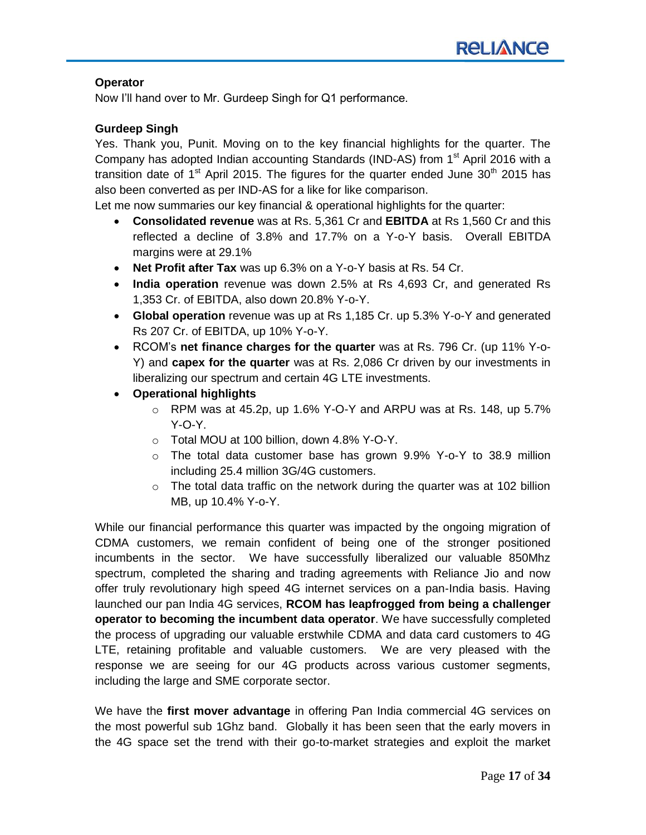# **Operator**

Now I'll hand over to Mr. Gurdeep Singh for Q1 performance.

# **Gurdeep Singh**

Yes. Thank you, Punit. Moving on to the key financial highlights for the quarter. The Company has adopted Indian accounting Standards (IND-AS) from 1<sup>st</sup> April 2016 with a transition date of 1<sup>st</sup> April 2015. The figures for the quarter ended June 30<sup>th</sup> 2015 has also been converted as per IND-AS for a like for like comparison.

Let me now summaries our key financial & operational highlights for the quarter:

- **Consolidated revenue** was at Rs. 5,361 Cr and **EBITDA** at Rs 1,560 Cr and this reflected a decline of 3.8% and 17.7% on a Y-o-Y basis. Overall EBITDA margins were at 29.1%
- **Net Profit after Tax** was up 6.3% on a Y-o-Y basis at Rs. 54 Cr.
- **India operation** revenue was down 2.5% at Rs 4,693 Cr, and generated Rs 1,353 Cr. of EBITDA, also down 20.8% Y-o-Y.
- **Global operation** revenue was up at Rs 1,185 Cr. up 5.3% Y-o-Y and generated Rs 207 Cr. of EBITDA, up 10% Y-o-Y.
- RCOM's **net finance charges for the quarter** was at Rs. 796 Cr. (up 11% Y-o-Y) and **capex for the quarter** was at Rs. 2,086 Cr driven by our investments in liberalizing our spectrum and certain 4G LTE investments.
- **Operational highlights**
	- $\circ$  RPM was at 45.2p, up 1.6% Y-O-Y and ARPU was at Rs. 148, up 5.7% Y-O-Y.
	- o Total MOU at 100 billion, down 4.8% Y-O-Y.
	- $\circ$  The total data customer base has grown 9.9% Y-o-Y to 38.9 million including 25.4 million 3G/4G customers.
	- $\circ$  The total data traffic on the network during the quarter was at 102 billion MB, up 10.4% Y-o-Y.

While our financial performance this quarter was impacted by the ongoing migration of CDMA customers, we remain confident of being one of the stronger positioned incumbents in the sector. We have successfully liberalized our valuable 850Mhz spectrum, completed the sharing and trading agreements with Reliance Jio and now offer truly revolutionary high speed 4G internet services on a pan-India basis. Having launched our pan India 4G services, **RCOM has leapfrogged from being a challenger operator to becoming the incumbent data operator**. We have successfully completed the process of upgrading our valuable erstwhile CDMA and data card customers to 4G LTE, retaining profitable and valuable customers. We are very pleased with the response we are seeing for our 4G products across various customer segments, including the large and SME corporate sector.

We have the **first mover advantage** in offering Pan India commercial 4G services on the most powerful sub 1Ghz band. Globally it has been seen that the early movers in the 4G space set the trend with their go-to-market strategies and exploit the market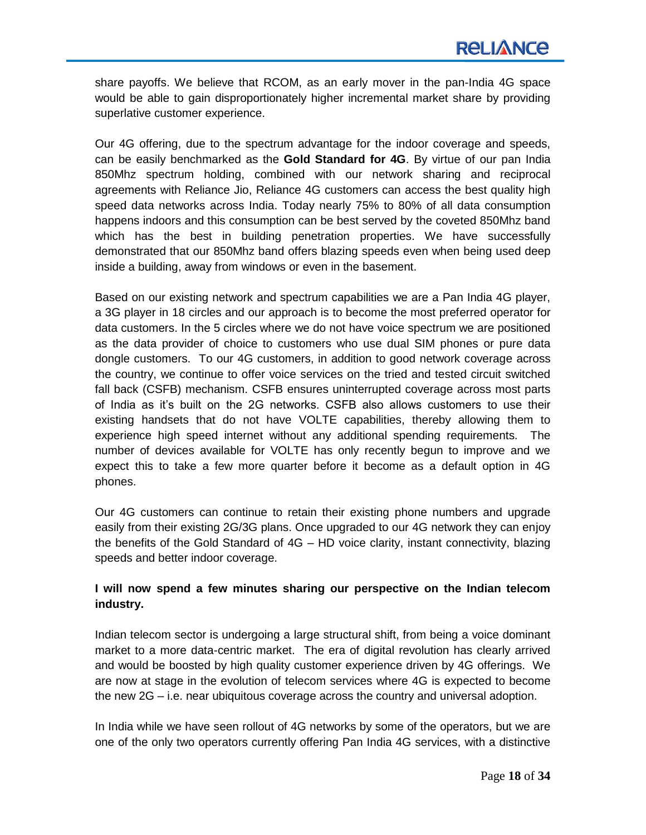share payoffs. We believe that RCOM, as an early mover in the pan-India 4G space would be able to gain disproportionately higher incremental market share by providing superlative customer experience.

Our 4G offering, due to the spectrum advantage for the indoor coverage and speeds, can be easily benchmarked as the **Gold Standard for 4G**. By virtue of our pan India 850Mhz spectrum holding, combined with our network sharing and reciprocal agreements with Reliance Jio, Reliance 4G customers can access the best quality high speed data networks across India. Today nearly 75% to 80% of all data consumption happens indoors and this consumption can be best served by the coveted 850Mhz band which has the best in building penetration properties. We have successfully demonstrated that our 850Mhz band offers blazing speeds even when being used deep inside a building, away from windows or even in the basement.

Based on our existing network and spectrum capabilities we are a Pan India 4G player, a 3G player in 18 circles and our approach is to become the most preferred operator for data customers. In the 5 circles where we do not have voice spectrum we are positioned as the data provider of choice to customers who use dual SIM phones or pure data dongle customers. To our 4G customers, in addition to good network coverage across the country, we continue to offer voice services on the tried and tested circuit switched fall back (CSFB) mechanism. CSFB ensures uninterrupted coverage across most parts of India as it's built on the 2G networks. CSFB also allows customers to use their existing handsets that do not have VOLTE capabilities, thereby allowing them to experience high speed internet without any additional spending requirements. The number of devices available for VOLTE has only recently begun to improve and we expect this to take a few more quarter before it become as a default option in 4G phones.

Our 4G customers can continue to retain their existing phone numbers and upgrade easily from their existing 2G/3G plans. Once upgraded to our 4G network they can enjoy the benefits of the Gold Standard of 4G – HD voice clarity, instant connectivity, blazing speeds and better indoor coverage.

# **I will now spend a few minutes sharing our perspective on the Indian telecom industry.**

Indian telecom sector is undergoing a large structural shift, from being a voice dominant market to a more data-centric market. The era of digital revolution has clearly arrived and would be boosted by high quality customer experience driven by 4G offerings. We are now at stage in the evolution of telecom services where 4G is expected to become the new 2G – i.e. near ubiquitous coverage across the country and universal adoption.

In India while we have seen rollout of 4G networks by some of the operators, but we are one of the only two operators currently offering Pan India 4G services, with a distinctive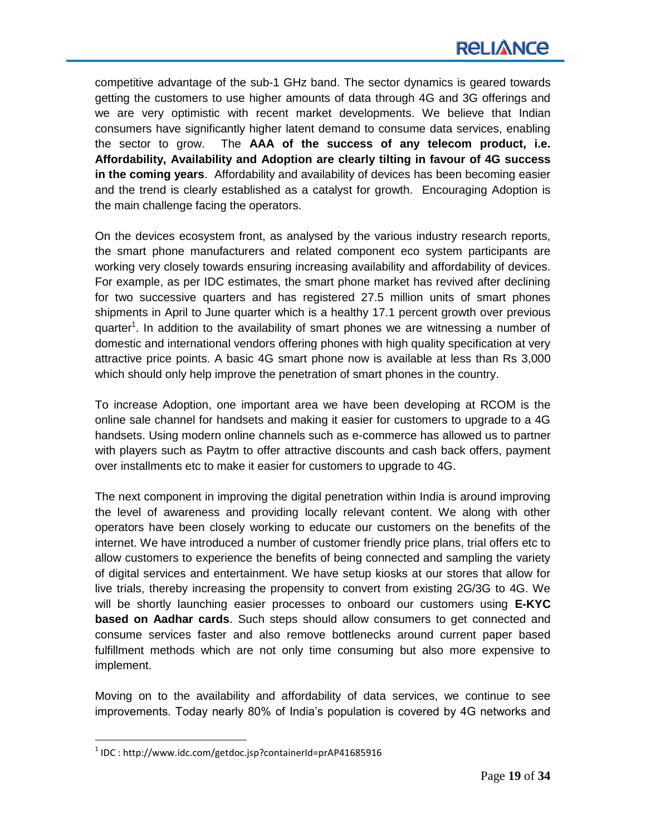competitive advantage of the sub-1 GHz band. The sector dynamics is geared towards getting the customers to use higher amounts of data through 4G and 3G offerings and we are very optimistic with recent market developments. We believe that Indian consumers have significantly higher latent demand to consume data services, enabling the sector to grow. The **AAA of the success of any telecom product, i.e. Affordability, Availability and Adoption are clearly tilting in favour of 4G success in the coming years**. Affordability and availability of devices has been becoming easier and the trend is clearly established as a catalyst for growth. Encouraging Adoption is the main challenge facing the operators.

On the devices ecosystem front, as analysed by the various industry research reports, the smart phone manufacturers and related component eco system participants are working very closely towards ensuring increasing availability and affordability of devices. For example, as per IDC estimates, the smart phone market has revived after declining for two successive quarters and has registered 27.5 million units of smart phones shipments in April to June quarter which is a healthy 17.1 percent growth over previous quarter<sup>1</sup>. In addition to the availability of smart phones we are witnessing a number of domestic and international vendors offering phones with high quality specification at very attractive price points. A basic 4G smart phone now is available at less than Rs 3,000 which should only help improve the penetration of smart phones in the country.

To increase Adoption, one important area we have been developing at RCOM is the online sale channel for handsets and making it easier for customers to upgrade to a 4G handsets. Using modern online channels such as e-commerce has allowed us to partner with players such as Paytm to offer attractive discounts and cash back offers, payment over installments etc to make it easier for customers to upgrade to 4G.

The next component in improving the digital penetration within India is around improving the level of awareness and providing locally relevant content. We along with other operators have been closely working to educate our customers on the benefits of the internet. We have introduced a number of customer friendly price plans, trial offers etc to allow customers to experience the benefits of being connected and sampling the variety of digital services and entertainment. We have setup kiosks at our stores that allow for live trials, thereby increasing the propensity to convert from existing 2G/3G to 4G. We will be shortly launching easier processes to onboard our customers using **E-KYC based on Aadhar cards**. Such steps should allow consumers to get connected and consume services faster and also remove bottlenecks around current paper based fulfillment methods which are not only time consuming but also more expensive to implement.

Moving on to the availability and affordability of data services, we continue to see improvements. Today nearly 80% of India's population is covered by 4G networks and

 $\overline{a}$ 

 $^1$  IDC : http://www.idc.com/getdoc.jsp?containerId=prAP41685916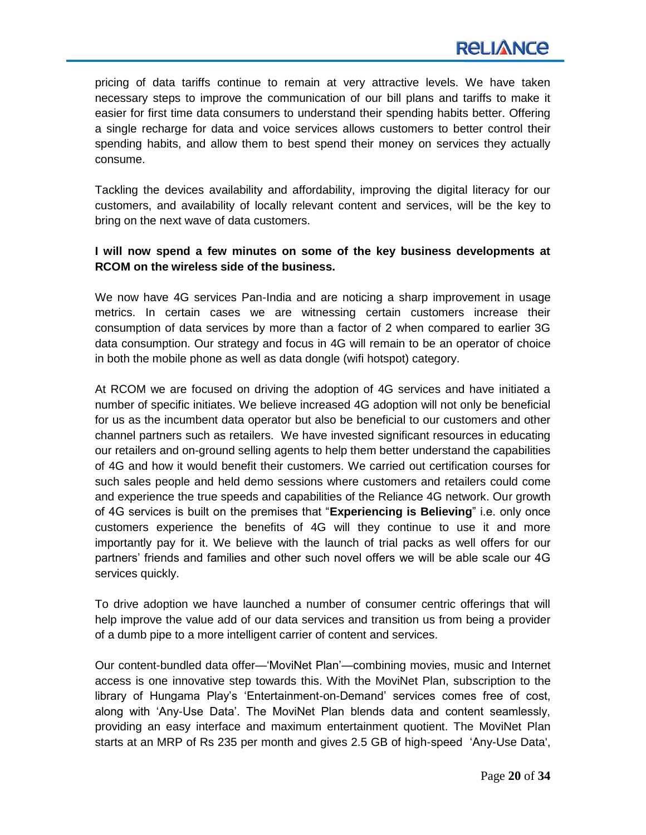pricing of data tariffs continue to remain at very attractive levels. We have taken necessary steps to improve the communication of our bill plans and tariffs to make it easier for first time data consumers to understand their spending habits better. Offering a single recharge for data and voice services allows customers to better control their spending habits, and allow them to best spend their money on services they actually consume.

Tackling the devices availability and affordability, improving the digital literacy for our customers, and availability of locally relevant content and services, will be the key to bring on the next wave of data customers.

# **I will now spend a few minutes on some of the key business developments at RCOM on the wireless side of the business.**

We now have 4G services Pan-India and are noticing a sharp improvement in usage metrics. In certain cases we are witnessing certain customers increase their consumption of data services by more than a factor of 2 when compared to earlier 3G data consumption. Our strategy and focus in 4G will remain to be an operator of choice in both the mobile phone as well as data dongle (wifi hotspot) category.

At RCOM we are focused on driving the adoption of 4G services and have initiated a number of specific initiates. We believe increased 4G adoption will not only be beneficial for us as the incumbent data operator but also be beneficial to our customers and other channel partners such as retailers. We have invested significant resources in educating our retailers and on-ground selling agents to help them better understand the capabilities of 4G and how it would benefit their customers. We carried out certification courses for such sales people and held demo sessions where customers and retailers could come and experience the true speeds and capabilities of the Reliance 4G network. Our growth of 4G services is built on the premises that "**Experiencing is Believing**" i.e. only once customers experience the benefits of 4G will they continue to use it and more importantly pay for it. We believe with the launch of trial packs as well offers for our partners' friends and families and other such novel offers we will be able scale our 4G services quickly.

To drive adoption we have launched a number of consumer centric offerings that will help improve the value add of our data services and transition us from being a provider of a dumb pipe to a more intelligent carrier of content and services.

Our content-bundled data offer—‗MoviNet Plan'—combining movies, music and Internet access is one innovative step towards this. With the MoviNet Plan, subscription to the library of Hungama Play's ‗Entertainment-on-Demand' services comes free of cost, along with ‗Any-Use Data'. The MoviNet Plan blends data and content seamlessly, providing an easy interface and maximum entertainment quotient. The MoviNet Plan starts at an MRP of Rs 235 per month and gives 2.5 GB of high-speed 'Any-Use Data',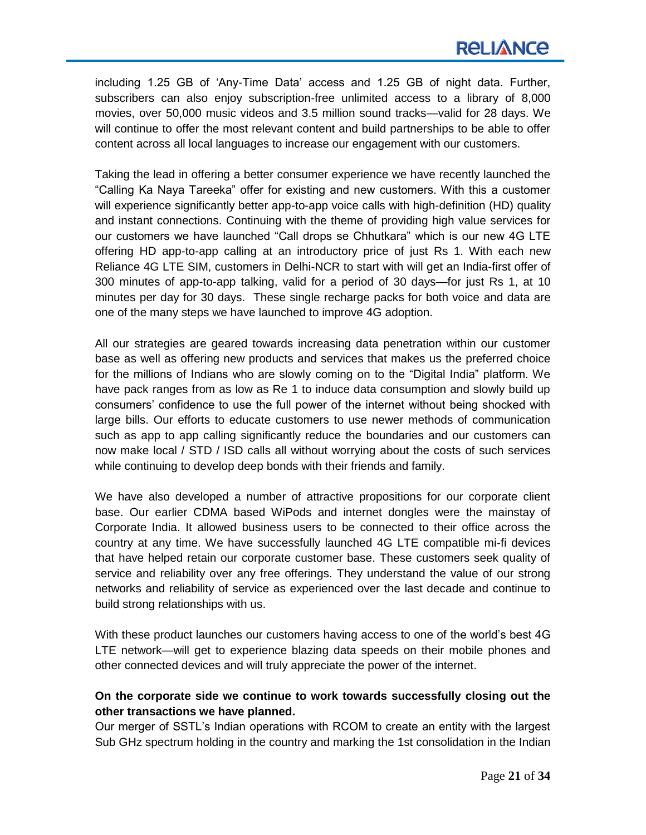including 1.25 GB of ‗Any-Time Data' access and 1.25 GB of night data. Further, subscribers can also enjoy subscription-free unlimited access to a library of 8,000 movies, over 50,000 music videos and 3.5 million sound tracks—valid for 28 days. We will continue to offer the most relevant content and build partnerships to be able to offer content across all local languages to increase our engagement with our customers.

Taking the lead in offering a better consumer experience we have recently launched the ―Calling Ka Naya Tareeka‖ offer for existing and new customers. With this a customer will experience significantly better app-to-app voice calls with high-definition (HD) quality and instant connections. Continuing with the theme of providing high value services for our customers we have launched "Call drops se Chhutkara" which is our new 4G LTE offering HD app-to-app calling at an introductory price of just Rs 1. With each new Reliance 4G LTE SIM, customers in Delhi-NCR to start with will get an India-first offer of 300 minutes of app-to-app talking, valid for a period of 30 days—for just Rs 1, at 10 minutes per day for 30 days. These single recharge packs for both voice and data are one of the many steps we have launched to improve 4G adoption.

All our strategies are geared towards increasing data penetration within our customer base as well as offering new products and services that makes us the preferred choice for the millions of Indians who are slowly coming on to the "Digital India" platform. We have pack ranges from as low as Re 1 to induce data consumption and slowly build up consumers' confidence to use the full power of the internet without being shocked with large bills. Our efforts to educate customers to use newer methods of communication such as app to app calling significantly reduce the boundaries and our customers can now make local / STD / ISD calls all without worrying about the costs of such services while continuing to develop deep bonds with their friends and family.

We have also developed a number of attractive propositions for our corporate client base. Our earlier CDMA based WiPods and internet dongles were the mainstay of Corporate India. It allowed business users to be connected to their office across the country at any time. We have successfully launched 4G LTE compatible mi-fi devices that have helped retain our corporate customer base. These customers seek quality of service and reliability over any free offerings. They understand the value of our strong networks and reliability of service as experienced over the last decade and continue to build strong relationships with us.

With these product launches our customers having access to one of the world's best 4G LTE network—will get to experience blazing data speeds on their mobile phones and other connected devices and will truly appreciate the power of the internet.

# **On the corporate side we continue to work towards successfully closing out the other transactions we have planned.**

Our merger of SSTL's Indian operations with RCOM to create an entity with the largest Sub GHz spectrum holding in the country and marking the 1st consolidation in the Indian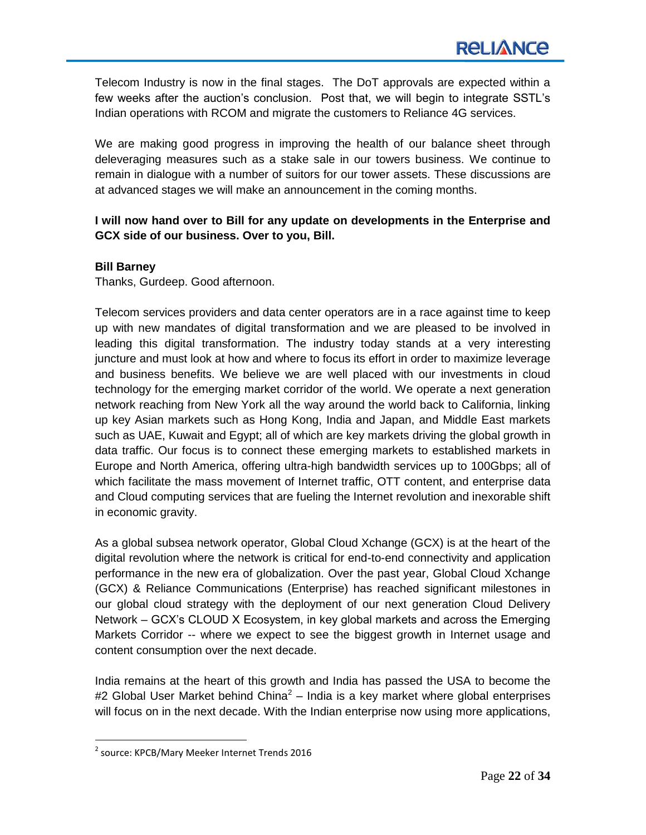Telecom Industry is now in the final stages. The DoT approvals are expected within a few weeks after the auction's conclusion. Post that, we will begin to integrate SSTL's Indian operations with RCOM and migrate the customers to Reliance 4G services.

We are making good progress in improving the health of our balance sheet through deleveraging measures such as a stake sale in our towers business. We continue to remain in dialogue with a number of suitors for our tower assets. These discussions are at advanced stages we will make an announcement in the coming months.

# **I will now hand over to Bill for any update on developments in the Enterprise and GCX side of our business. Over to you, Bill.**

# **Bill Barney**

Thanks, Gurdeep. Good afternoon.

Telecom services providers and data center operators are in a race against time to keep up with new mandates of digital transformation and we are pleased to be involved in leading this digital transformation. The industry today stands at a very interesting juncture and must look at how and where to focus its effort in order to maximize leverage and business benefits. We believe we are well placed with our investments in cloud technology for the emerging market corridor of the world. We operate a next generation network reaching from New York all the way around the world back to California, linking up key Asian markets such as Hong Kong, India and Japan, and Middle East markets such as UAE, Kuwait and Egypt; all of which are key markets driving the global growth in data traffic. Our focus is to connect these emerging markets to established markets in Europe and North America, offering ultra-high bandwidth services up to 100Gbps; all of which facilitate the mass movement of Internet traffic, OTT content, and enterprise data and Cloud computing services that are fueling the Internet revolution and inexorable shift in economic gravity.

As a global subsea network operator, Global Cloud Xchange (GCX) is at the heart of the digital revolution where the network is critical for end-to-end connectivity and application performance in the new era of globalization. Over the past year, Global Cloud Xchange (GCX) & Reliance Communications (Enterprise) has reached significant milestones in our global cloud strategy with the deployment of our next generation Cloud Delivery Network – GCX's CLOUD X Ecosystem, in key global markets and across the Emerging Markets Corridor -- where we expect to see the biggest growth in Internet usage and content consumption over the next decade.

India remains at the heart of this growth and India has passed the USA to become the #2 Global User Market behind China<sup>2</sup> – India is a key market where global enterprises will focus on in the next decade. With the Indian enterprise now using more applications,

 $\overline{a}$ 

<sup>&</sup>lt;sup>2</sup> source: KPCB/Mary Meeker Internet Trends 2016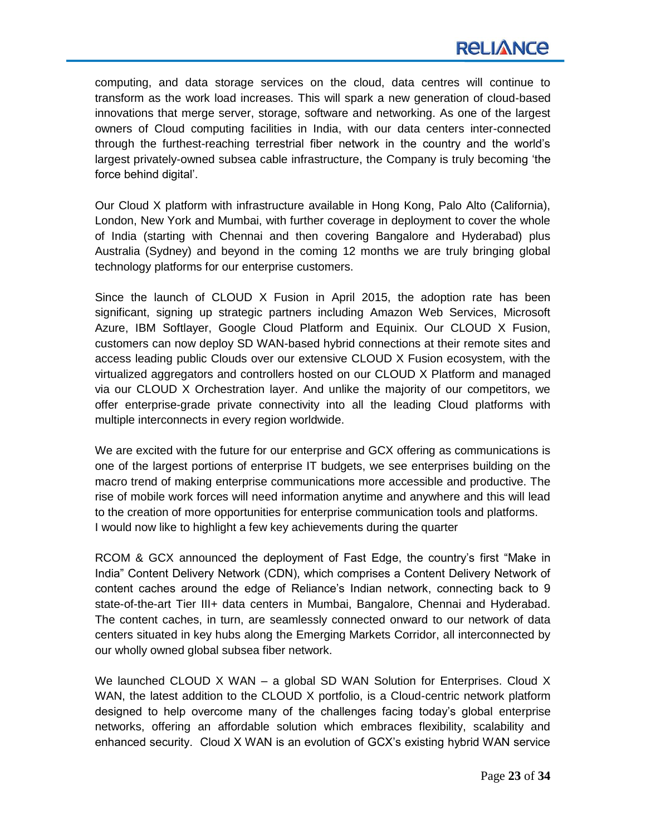computing, and data storage services on the cloud, data centres will continue to transform as the work load increases. This will spark a new generation of cloud-based innovations that merge server, storage, software and networking. As one of the largest owners of Cloud computing facilities in India, with our data centers inter-connected through the furthest-reaching terrestrial fiber network in the country and the world's largest privately-owned subsea cable infrastructure, the Company is truly becoming 'the force behind digital'.

Our Cloud X platform with infrastructure available in Hong Kong, Palo Alto (California), London, New York and Mumbai, with further coverage in deployment to cover the whole of India (starting with Chennai and then covering Bangalore and Hyderabad) plus Australia (Sydney) and beyond in the coming 12 months we are truly bringing global technology platforms for our enterprise customers.

Since the launch of CLOUD X Fusion in April 2015, the adoption rate has been significant, signing up strategic partners including Amazon Web Services, Microsoft Azure, IBM Softlayer, Google Cloud Platform and Equinix. Our CLOUD X Fusion, customers can now deploy SD WAN-based hybrid connections at their remote sites and access leading public Clouds over our extensive CLOUD X Fusion ecosystem, with the virtualized aggregators and controllers hosted on our CLOUD X Platform and managed via our CLOUD X Orchestration layer. And unlike the majority of our competitors, we offer enterprise-grade private connectivity into all the leading Cloud platforms with multiple interconnects in every region worldwide.

We are excited with the future for our enterprise and GCX offering as communications is one of the largest portions of enterprise IT budgets, we see enterprises building on the macro trend of making enterprise communications more accessible and productive. The rise of mobile work forces will need information anytime and anywhere and this will lead to the creation of more opportunities for enterprise communication tools and platforms. I would now like to highlight a few key achievements during the quarter

RCOM & GCX announced the deployment of Fast Edge, the country's first "Make in India‖ Content Delivery Network (CDN), which comprises a Content Delivery Network of content caches around the edge of Reliance's Indian network, connecting back to 9 state-of-the-art Tier III+ data centers in Mumbai, Bangalore, Chennai and Hyderabad. The content caches, in turn, are seamlessly connected onward to our network of data centers situated in key hubs along the Emerging Markets Corridor, all interconnected by our wholly owned global subsea fiber network.

We launched CLOUD X WAN – a global SD WAN Solution for Enterprises. Cloud X WAN, the latest addition to the CLOUD X portfolio, is a Cloud-centric network platform designed to help overcome many of the challenges facing today's global enterprise networks, offering an affordable solution which embraces flexibility, scalability and enhanced security. Cloud X WAN is an evolution of GCX's existing hybrid WAN service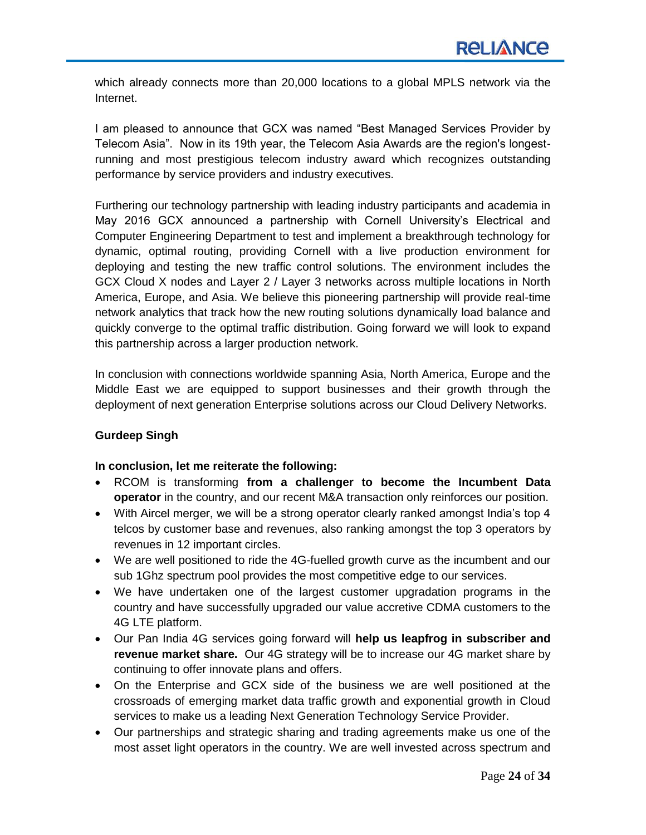which already connects more than 20,000 locations to a global MPLS network via the Internet.

I am pleased to announce that GCX was named "Best Managed Services Provider by Telecom Asia‖. Now in its 19th year, the Telecom Asia Awards are the region's longestrunning and most prestigious telecom industry award which recognizes outstanding performance by service providers and industry executives.

Furthering our technology partnership with leading industry participants and academia in May 2016 GCX announced a partnership with Cornell University's Electrical and Computer Engineering Department to test and implement a breakthrough technology for dynamic, optimal routing, providing Cornell with a live production environment for deploying and testing the new traffic control solutions. The environment includes the GCX Cloud X nodes and Layer 2 / Layer 3 networks across multiple locations in North America, Europe, and Asia. We believe this pioneering partnership will provide real-time network analytics that track how the new routing solutions dynamically load balance and quickly converge to the optimal traffic distribution. Going forward we will look to expand this partnership across a larger production network.

In conclusion with connections worldwide spanning Asia, North America, Europe and the Middle East we are equipped to support businesses and their growth through the deployment of next generation Enterprise solutions across our Cloud Delivery Networks.

# **Gurdeep Singh**

### **In conclusion, let me reiterate the following:**

- RCOM is transforming **from a challenger to become the Incumbent Data operator** in the country, and our recent M&A transaction only reinforces our position.
- With Aircel merger, we will be a strong operator clearly ranked amongst India's top 4 telcos by customer base and revenues, also ranking amongst the top 3 operators by revenues in 12 important circles.
- We are well positioned to ride the 4G-fuelled growth curve as the incumbent and our sub 1Ghz spectrum pool provides the most competitive edge to our services.
- We have undertaken one of the largest customer upgradation programs in the country and have successfully upgraded our value accretive CDMA customers to the 4G LTE platform.
- Our Pan India 4G services going forward will **help us leapfrog in subscriber and revenue market share.** Our 4G strategy will be to increase our 4G market share by continuing to offer innovate plans and offers.
- On the Enterprise and GCX side of the business we are well positioned at the crossroads of emerging market data traffic growth and exponential growth in Cloud services to make us a leading Next Generation Technology Service Provider.
- Our partnerships and strategic sharing and trading agreements make us one of the most asset light operators in the country. We are well invested across spectrum and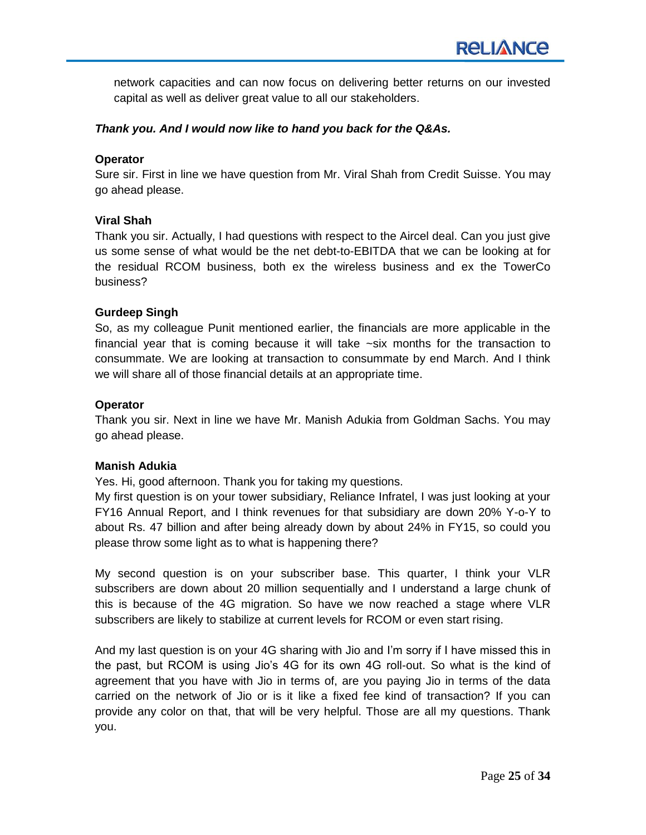network capacities and can now focus on delivering better returns on our invested capital as well as deliver great value to all our stakeholders.

### *Thank you. And I would now like to hand you back for the Q&As.*

### **Operator**

Sure sir. First in line we have question from Mr. Viral Shah from Credit Suisse. You may go ahead please.

### **Viral Shah**

Thank you sir. Actually, I had questions with respect to the Aircel deal. Can you just give us some sense of what would be the net debt-to-EBITDA that we can be looking at for the residual RCOM business, both ex the wireless business and ex the TowerCo business?

### **Gurdeep Singh**

So, as my colleague Punit mentioned earlier, the financials are more applicable in the financial year that is coming because it will take ~six months for the transaction to consummate. We are looking at transaction to consummate by end March. And I think we will share all of those financial details at an appropriate time.

### **Operator**

Thank you sir. Next in line we have Mr. Manish Adukia from Goldman Sachs. You may go ahead please.

### **Manish Adukia**

Yes. Hi, good afternoon. Thank you for taking my questions.

My first question is on your tower subsidiary, Reliance Infratel, I was just looking at your FY16 Annual Report, and I think revenues for that subsidiary are down 20% Y-o-Y to about Rs. 47 billion and after being already down by about 24% in FY15, so could you please throw some light as to what is happening there?

My second question is on your subscriber base. This quarter, I think your VLR subscribers are down about 20 million sequentially and I understand a large chunk of this is because of the 4G migration. So have we now reached a stage where VLR subscribers are likely to stabilize at current levels for RCOM or even start rising.

And my last question is on your 4G sharing with Jio and I'm sorry if I have missed this in the past, but RCOM is using Jio's 4G for its own 4G roll-out. So what is the kind of agreement that you have with Jio in terms of, are you paying Jio in terms of the data carried on the network of Jio or is it like a fixed fee kind of transaction? If you can provide any color on that, that will be very helpful. Those are all my questions. Thank you.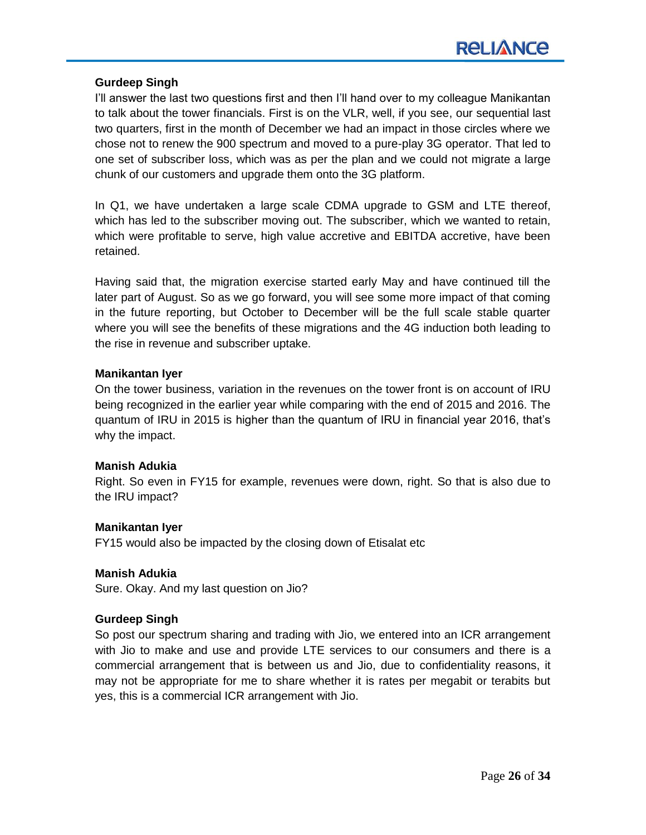### **Gurdeep Singh**

I'll answer the last two questions first and then I'll hand over to my colleague Manikantan to talk about the tower financials. First is on the VLR, well, if you see, our sequential last two quarters, first in the month of December we had an impact in those circles where we chose not to renew the 900 spectrum and moved to a pure-play 3G operator. That led to one set of subscriber loss, which was as per the plan and we could not migrate a large chunk of our customers and upgrade them onto the 3G platform.

In Q1, we have undertaken a large scale CDMA upgrade to GSM and LTE thereof, which has led to the subscriber moving out. The subscriber, which we wanted to retain, which were profitable to serve, high value accretive and EBITDA accretive, have been retained.

Having said that, the migration exercise started early May and have continued till the later part of August. So as we go forward, you will see some more impact of that coming in the future reporting, but October to December will be the full scale stable quarter where you will see the benefits of these migrations and the 4G induction both leading to the rise in revenue and subscriber uptake.

### **Manikantan Iyer**

On the tower business, variation in the revenues on the tower front is on account of IRU being recognized in the earlier year while comparing with the end of 2015 and 2016. The quantum of IRU in 2015 is higher than the quantum of IRU in financial year 2016, that's why the impact.

### **Manish Adukia**

Right. So even in FY15 for example, revenues were down, right. So that is also due to the IRU impact?

### **Manikantan Iyer**

FY15 would also be impacted by the closing down of Etisalat etc

### **Manish Adukia**

Sure. Okay. And my last question on Jio?

### **Gurdeep Singh**

So post our spectrum sharing and trading with Jio, we entered into an ICR arrangement with Jio to make and use and provide LTE services to our consumers and there is a commercial arrangement that is between us and Jio, due to confidentiality reasons, it may not be appropriate for me to share whether it is rates per megabit or terabits but yes, this is a commercial ICR arrangement with Jio.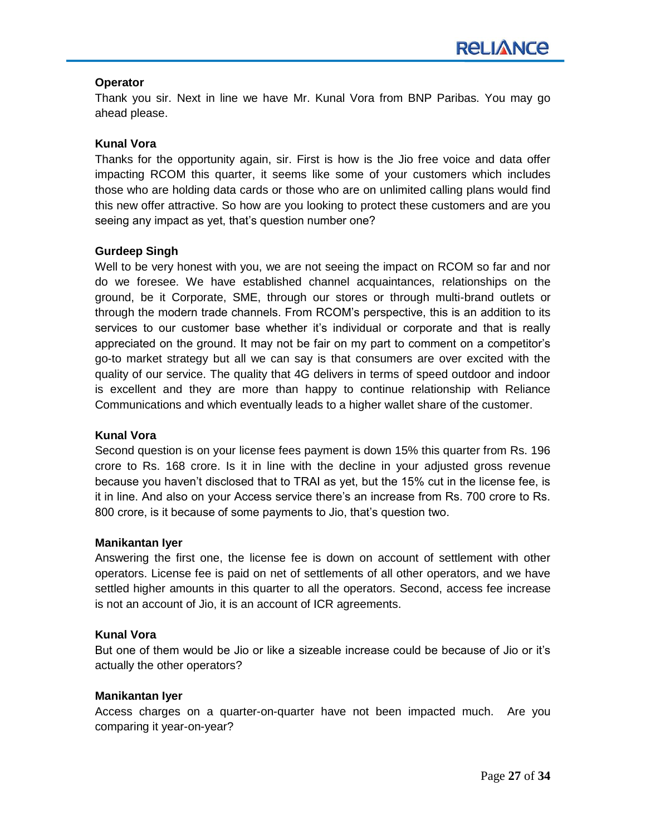### **Operator**

Thank you sir. Next in line we have Mr. Kunal Vora from BNP Paribas. You may go ahead please.

# **Kunal Vora**

Thanks for the opportunity again, sir. First is how is the Jio free voice and data offer impacting RCOM this quarter, it seems like some of your customers which includes those who are holding data cards or those who are on unlimited calling plans would find this new offer attractive. So how are you looking to protect these customers and are you seeing any impact as yet, that's question number one?

# **Gurdeep Singh**

Well to be very honest with you, we are not seeing the impact on RCOM so far and nor do we foresee. We have established channel acquaintances, relationships on the ground, be it Corporate, SME, through our stores or through multi-brand outlets or through the modern trade channels. From RCOM's perspective, this is an addition to its services to our customer base whether it's individual or corporate and that is really appreciated on the ground. It may not be fair on my part to comment on a competitor's go-to market strategy but all we can say is that consumers are over excited with the quality of our service. The quality that 4G delivers in terms of speed outdoor and indoor is excellent and they are more than happy to continue relationship with Reliance Communications and which eventually leads to a higher wallet share of the customer.

# **Kunal Vora**

Second question is on your license fees payment is down 15% this quarter from Rs. 196 crore to Rs. 168 crore. Is it in line with the decline in your adjusted gross revenue because you haven't disclosed that to TRAI as yet, but the 15% cut in the license fee, is it in line. And also on your Access service there's an increase from Rs. 700 crore to Rs. 800 crore, is it because of some payments to Jio, that's question two.

### **Manikantan Iyer**

Answering the first one, the license fee is down on account of settlement with other operators. License fee is paid on net of settlements of all other operators, and we have settled higher amounts in this quarter to all the operators. Second, access fee increase is not an account of Jio, it is an account of ICR agreements.

### **Kunal Vora**

But one of them would be Jio or like a sizeable increase could be because of Jio or it's actually the other operators?

### **Manikantan Iyer**

Access charges on a quarter-on-quarter have not been impacted much. Are you comparing it year-on-year?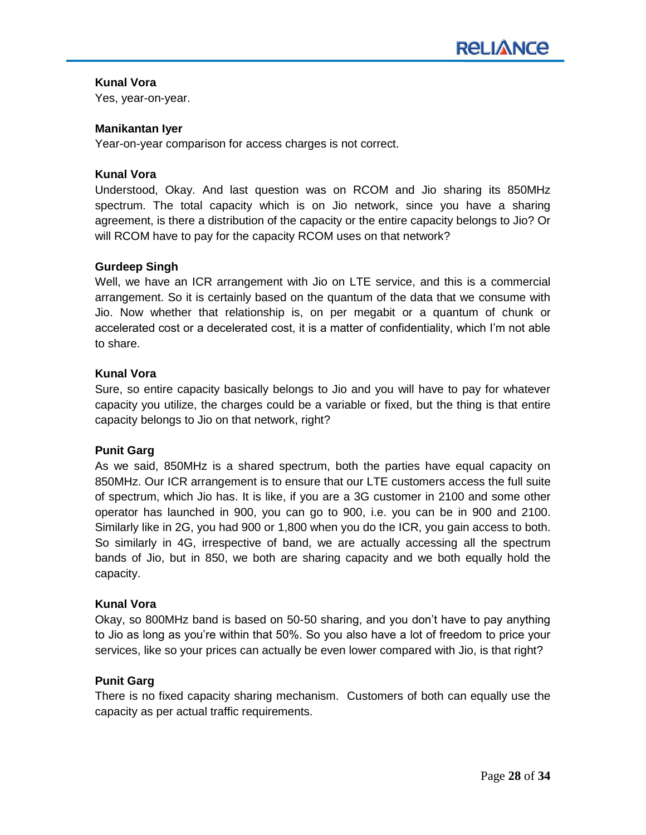# **Kunal Vora**

Yes, year-on-year.

### **Manikantan Iyer**

Year-on-year comparison for access charges is not correct.

### **Kunal Vora**

Understood, Okay. And last question was on RCOM and Jio sharing its 850MHz spectrum. The total capacity which is on Jio network, since you have a sharing agreement, is there a distribution of the capacity or the entire capacity belongs to Jio? Or will RCOM have to pay for the capacity RCOM uses on that network?

### **Gurdeep Singh**

Well, we have an ICR arrangement with Jio on LTE service, and this is a commercial arrangement. So it is certainly based on the quantum of the data that we consume with Jio. Now whether that relationship is, on per megabit or a quantum of chunk or accelerated cost or a decelerated cost, it is a matter of confidentiality, which I'm not able to share.

### **Kunal Vora**

Sure, so entire capacity basically belongs to Jio and you will have to pay for whatever capacity you utilize, the charges could be a variable or fixed, but the thing is that entire capacity belongs to Jio on that network, right?

### **Punit Garg**

As we said, 850MHz is a shared spectrum, both the parties have equal capacity on 850MHz. Our ICR arrangement is to ensure that our LTE customers access the full suite of spectrum, which Jio has. It is like, if you are a 3G customer in 2100 and some other operator has launched in 900, you can go to 900, i.e. you can be in 900 and 2100. Similarly like in 2G, you had 900 or 1,800 when you do the ICR, you gain access to both. So similarly in 4G, irrespective of band, we are actually accessing all the spectrum bands of Jio, but in 850, we both are sharing capacity and we both equally hold the capacity.

### **Kunal Vora**

Okay, so 800MHz band is based on 50-50 sharing, and you don't have to pay anything to Jio as long as you're within that 50%. So you also have a lot of freedom to price your services, like so your prices can actually be even lower compared with Jio, is that right?

### **Punit Garg**

There is no fixed capacity sharing mechanism. Customers of both can equally use the capacity as per actual traffic requirements.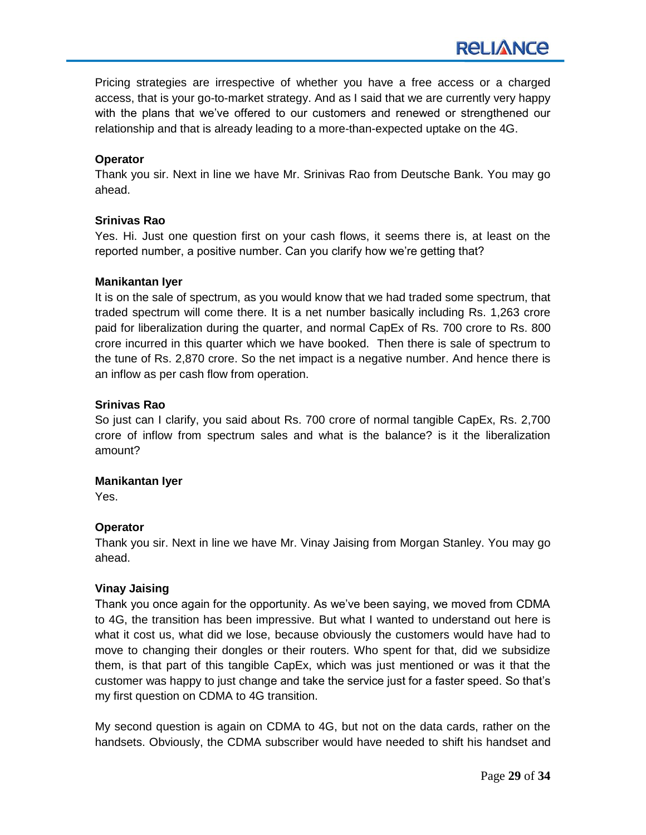Pricing strategies are irrespective of whether you have a free access or a charged access, that is your go-to-market strategy. And as I said that we are currently very happy with the plans that we've offered to our customers and renewed or strengthened our relationship and that is already leading to a more-than-expected uptake on the 4G.

# **Operator**

Thank you sir. Next in line we have Mr. Srinivas Rao from Deutsche Bank. You may go ahead.

# **Srinivas Rao**

Yes. Hi. Just one question first on your cash flows, it seems there is, at least on the reported number, a positive number. Can you clarify how we're getting that?

### **Manikantan Iyer**

It is on the sale of spectrum, as you would know that we had traded some spectrum, that traded spectrum will come there. It is a net number basically including Rs. 1,263 crore paid for liberalization during the quarter, and normal CapEx of Rs. 700 crore to Rs. 800 crore incurred in this quarter which we have booked. Then there is sale of spectrum to the tune of Rs. 2,870 crore. So the net impact is a negative number. And hence there is an inflow as per cash flow from operation.

### **Srinivas Rao**

So just can I clarify, you said about Rs. 700 crore of normal tangible CapEx, Rs. 2,700 crore of inflow from spectrum sales and what is the balance? is it the liberalization amount?

### **Manikantan Iyer**

Yes.

# **Operator**

Thank you sir. Next in line we have Mr. Vinay Jaising from Morgan Stanley. You may go ahead.

# **Vinay Jaising**

Thank you once again for the opportunity. As we've been saying, we moved from CDMA to 4G, the transition has been impressive. But what I wanted to understand out here is what it cost us, what did we lose, because obviously the customers would have had to move to changing their dongles or their routers. Who spent for that, did we subsidize them, is that part of this tangible CapEx, which was just mentioned or was it that the customer was happy to just change and take the service just for a faster speed. So that's my first question on CDMA to 4G transition.

My second question is again on CDMA to 4G, but not on the data cards, rather on the handsets. Obviously, the CDMA subscriber would have needed to shift his handset and

**RELIANCE**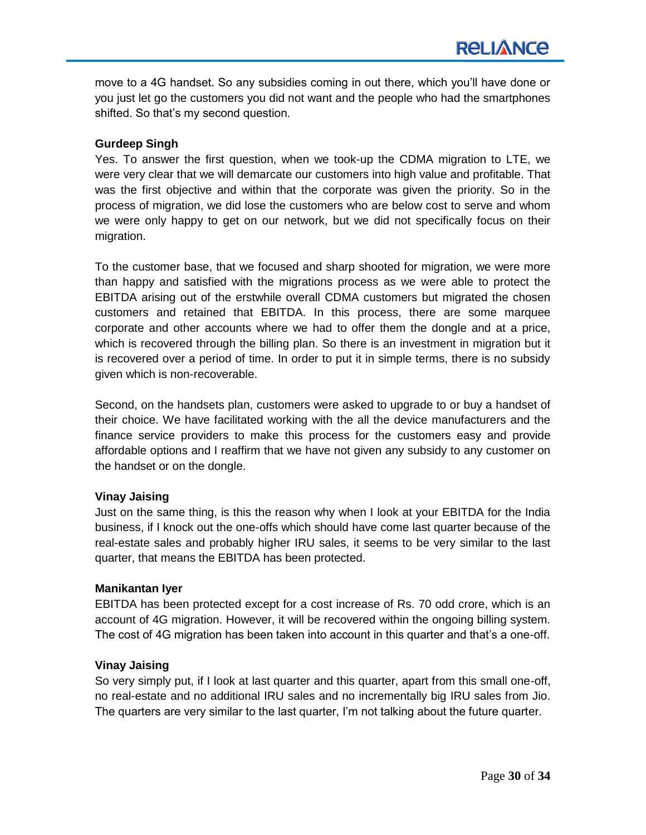move to a 4G handset. So any subsidies coming in out there, which you'll have done or you just let go the customers you did not want and the people who had the smartphones shifted. So that's my second question.

### **Gurdeep Singh**

Yes. To answer the first question, when we took-up the CDMA migration to LTE, we were very clear that we will demarcate our customers into high value and profitable. That was the first objective and within that the corporate was given the priority. So in the process of migration, we did lose the customers who are below cost to serve and whom we were only happy to get on our network, but we did not specifically focus on their migration.

To the customer base, that we focused and sharp shooted for migration, we were more than happy and satisfied with the migrations process as we were able to protect the EBITDA arising out of the erstwhile overall CDMA customers but migrated the chosen customers and retained that EBITDA. In this process, there are some marquee corporate and other accounts where we had to offer them the dongle and at a price, which is recovered through the billing plan. So there is an investment in migration but it is recovered over a period of time. In order to put it in simple terms, there is no subsidy given which is non-recoverable.

Second, on the handsets plan, customers were asked to upgrade to or buy a handset of their choice. We have facilitated working with the all the device manufacturers and the finance service providers to make this process for the customers easy and provide affordable options and I reaffirm that we have not given any subsidy to any customer on the handset or on the dongle.

### **Vinay Jaising**

Just on the same thing, is this the reason why when I look at your EBITDA for the India business, if I knock out the one-offs which should have come last quarter because of the real-estate sales and probably higher IRU sales, it seems to be very similar to the last quarter, that means the EBITDA has been protected.

### **Manikantan Iyer**

EBITDA has been protected except for a cost increase of Rs. 70 odd crore, which is an account of 4G migration. However, it will be recovered within the ongoing billing system. The cost of 4G migration has been taken into account in this quarter and that's a one-off.

### **Vinay Jaising**

So very simply put, if I look at last quarter and this quarter, apart from this small one-off, no real-estate and no additional IRU sales and no incrementally big IRU sales from Jio. The quarters are very similar to the last quarter, I'm not talking about the future quarter.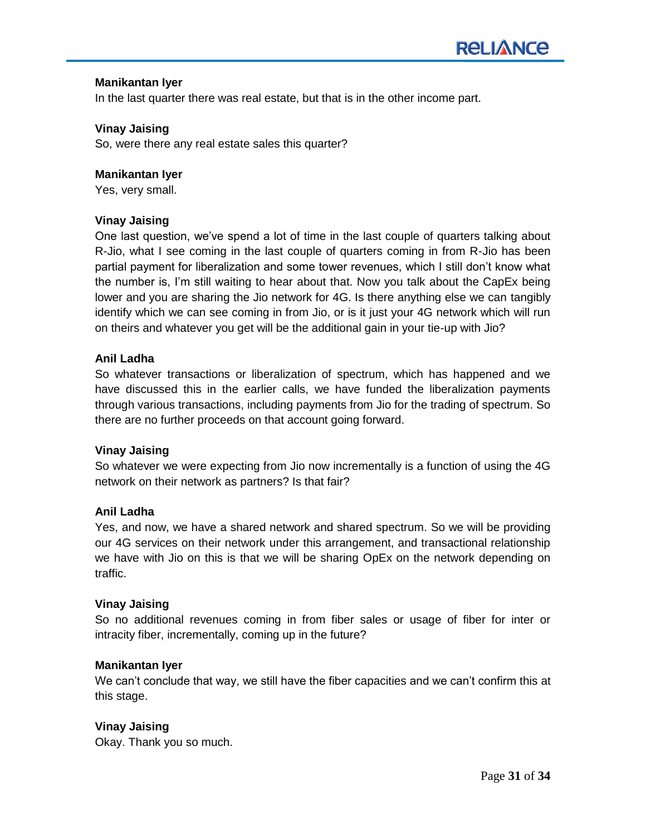### **Manikantan Iyer**

In the last quarter there was real estate, but that is in the other income part.

### **Vinay Jaising**

So, were there any real estate sales this quarter?

### **Manikantan Iyer**

Yes, very small.

### **Vinay Jaising**

One last question, we've spend a lot of time in the last couple of quarters talking about R-Jio, what I see coming in the last couple of quarters coming in from R-Jio has been partial payment for liberalization and some tower revenues, which I still don't know what the number is, I'm still waiting to hear about that. Now you talk about the CapEx being lower and you are sharing the Jio network for 4G. Is there anything else we can tangibly identify which we can see coming in from Jio, or is it just your 4G network which will run on theirs and whatever you get will be the additional gain in your tie-up with Jio?

### **Anil Ladha**

So whatever transactions or liberalization of spectrum, which has happened and we have discussed this in the earlier calls, we have funded the liberalization payments through various transactions, including payments from Jio for the trading of spectrum. So there are no further proceeds on that account going forward.

### **Vinay Jaising**

So whatever we were expecting from Jio now incrementally is a function of using the 4G network on their network as partners? Is that fair?

### **Anil Ladha**

Yes, and now, we have a shared network and shared spectrum. So we will be providing our 4G services on their network under this arrangement, and transactional relationship we have with Jio on this is that we will be sharing OpEx on the network depending on traffic.

### **Vinay Jaising**

So no additional revenues coming in from fiber sales or usage of fiber for inter or intracity fiber, incrementally, coming up in the future?

### **Manikantan Iyer**

We can't conclude that way, we still have the fiber capacities and we can't confirm this at this stage.

### **Vinay Jaising**

Okay. Thank you so much.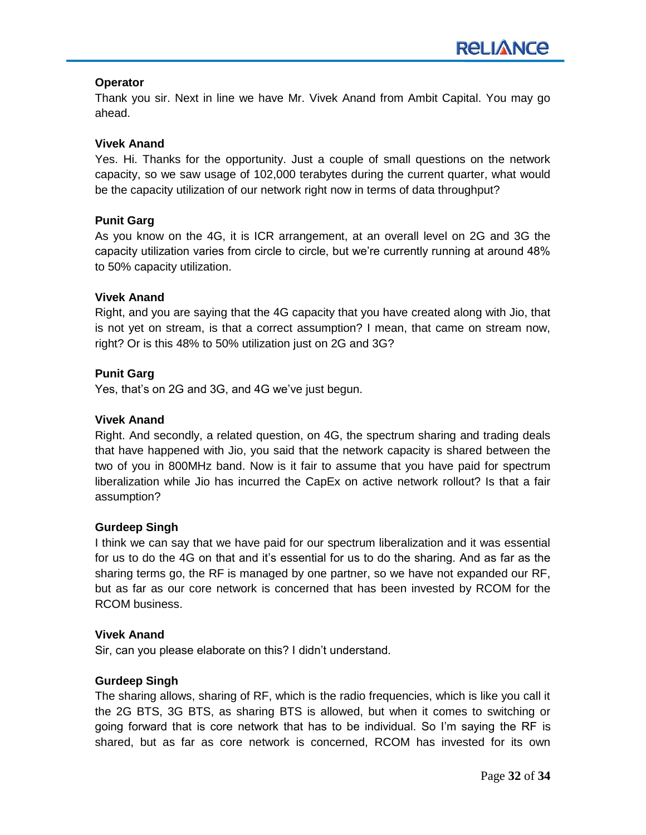# **Operator**

Thank you sir. Next in line we have Mr. Vivek Anand from Ambit Capital. You may go ahead.

# **Vivek Anand**

Yes. Hi. Thanks for the opportunity. Just a couple of small questions on the network capacity, so we saw usage of 102,000 terabytes during the current quarter, what would be the capacity utilization of our network right now in terms of data throughput?

# **Punit Garg**

As you know on the 4G, it is ICR arrangement, at an overall level on 2G and 3G the capacity utilization varies from circle to circle, but we're currently running at around 48% to 50% capacity utilization.

### **Vivek Anand**

Right, and you are saying that the 4G capacity that you have created along with Jio, that is not yet on stream, is that a correct assumption? I mean, that came on stream now, right? Or is this 48% to 50% utilization just on 2G and 3G?

# **Punit Garg**

Yes, that's on 2G and 3G, and 4G we've just begun.

# **Vivek Anand**

Right. And secondly, a related question, on 4G, the spectrum sharing and trading deals that have happened with Jio, you said that the network capacity is shared between the two of you in 800MHz band. Now is it fair to assume that you have paid for spectrum liberalization while Jio has incurred the CapEx on active network rollout? Is that a fair assumption?

### **Gurdeep Singh**

I think we can say that we have paid for our spectrum liberalization and it was essential for us to do the 4G on that and it's essential for us to do the sharing. And as far as the sharing terms go, the RF is managed by one partner, so we have not expanded our RF, but as far as our core network is concerned that has been invested by RCOM for the RCOM business.

### **Vivek Anand**

Sir, can you please elaborate on this? I didn't understand.

# **Gurdeep Singh**

The sharing allows, sharing of RF, which is the radio frequencies, which is like you call it the 2G BTS, 3G BTS, as sharing BTS is allowed, but when it comes to switching or going forward that is core network that has to be individual. So I'm saying the RF is shared, but as far as core network is concerned, RCOM has invested for its own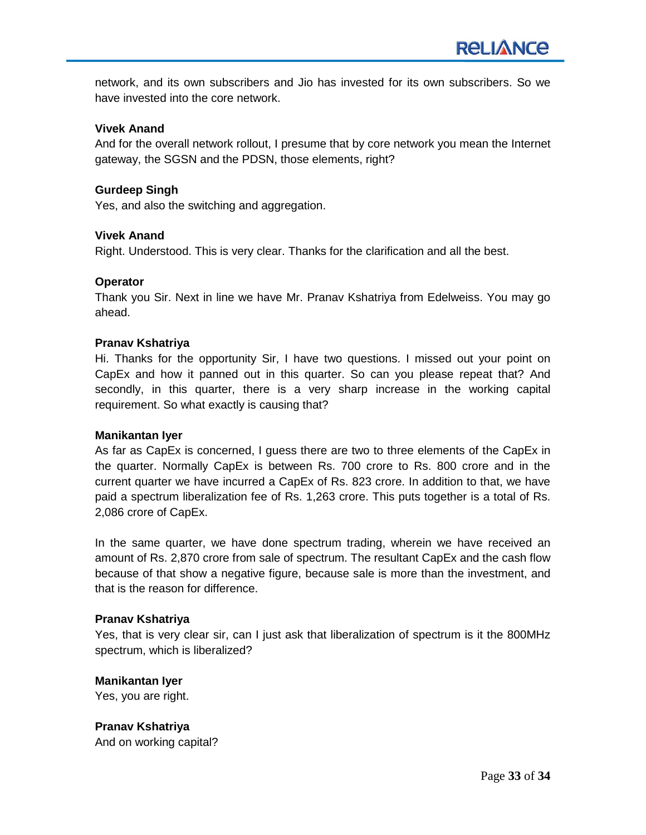network, and its own subscribers and Jio has invested for its own subscribers. So we have invested into the core network.

### **Vivek Anand**

And for the overall network rollout, I presume that by core network you mean the Internet gateway, the SGSN and the PDSN, those elements, right?

### **Gurdeep Singh**

Yes, and also the switching and aggregation.

### **Vivek Anand**

Right. Understood. This is very clear. Thanks for the clarification and all the best.

### **Operator**

Thank you Sir. Next in line we have Mr. Pranav Kshatriya from Edelweiss. You may go ahead.

### **Pranav Kshatriya**

Hi. Thanks for the opportunity Sir, I have two questions. I missed out your point on CapEx and how it panned out in this quarter. So can you please repeat that? And secondly, in this quarter, there is a very sharp increase in the working capital requirement. So what exactly is causing that?

### **Manikantan Iyer**

As far as CapEx is concerned, I guess there are two to three elements of the CapEx in the quarter. Normally CapEx is between Rs. 700 crore to Rs. 800 crore and in the current quarter we have incurred a CapEx of Rs. 823 crore. In addition to that, we have paid a spectrum liberalization fee of Rs. 1,263 crore. This puts together is a total of Rs. 2,086 crore of CapEx.

In the same quarter, we have done spectrum trading, wherein we have received an amount of Rs. 2,870 crore from sale of spectrum. The resultant CapEx and the cash flow because of that show a negative figure, because sale is more than the investment, and that is the reason for difference.

### **Pranav Kshatriya**

Yes, that is very clear sir, can I just ask that liberalization of spectrum is it the 800MHz spectrum, which is liberalized?

# **Manikantan Iyer**

Yes, you are right.

**Pranav Kshatriya** And on working capital?